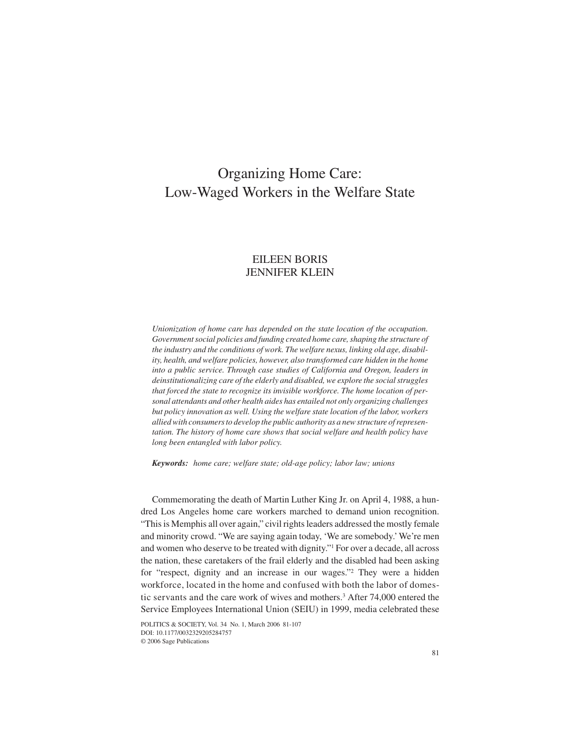# Organizing Home Care: Low-Waged Workers in the Welfare State

## EILEEN BORIS JENNIFER KLEIN

*Unionization of home care has depended on the state location of the occupation. Government social policies and funding created home care, shaping the structure of the industry and the conditions of work. The welfare nexus, linking old age, disability, health, and welfare policies, however, also transformed care hidden in the home into a public service. Through case studies of California and Oregon, leaders in deinstitutionalizing care of the elderly and disabled, we explore the social struggles that forced the state to recognize its invisible workforce. The home location of personal attendants and other health aides has entailed not only organizing challenges but policy innovation as well. Using the welfare state location of the labor, workers allied with consumers to develop the public authority as a new structure of representation. The history of home care shows that social welfare and health policy have long been entangled with labor policy.*

*Keywords: home care; welfare state; old-age policy; labor law; unions*

Commemorating the death of Martin Luther King Jr. on April 4, 1988, a hundred Los Angeles home care workers marched to demand union recognition. "This is Memphis all over again," civil rights leaders addressed the mostly female and minority crowd. "We are saying again today, 'We are somebody.' We're men and women who deserve to be treated with dignity."1 For over a decade, all across the nation, these caretakers of the frail elderly and the disabled had been asking for "respect, dignity and an increase in our wages."2 They were a hidden workforce, located in the home and confused with both the labor of domestic servants and the care work of wives and mothers.3 After 74,000 entered the Service Employees International Union (SEIU) in 1999, media celebrated these

POLITICS & SOCIETY, Vol. 34 No. 1, March 2006 81-107 DOI: 10.1177/0032329205284757 © 2006 Sage Publications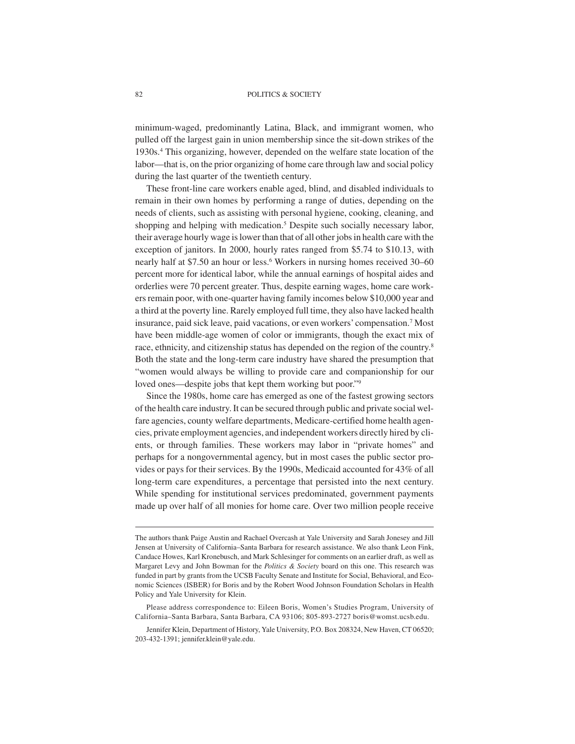minimum-waged, predominantly Latina, Black, and immigrant women, who pulled off the largest gain in union membership since the sit-down strikes of the 1930s.4 This organizing, however, depended on the welfare state location of the labor—that is, on the prior organizing of home care through law and social policy during the last quarter of the twentieth century.

These front-line care workers enable aged, blind, and disabled individuals to remain in their own homes by performing a range of duties, depending on the needs of clients, such as assisting with personal hygiene, cooking, cleaning, and shopping and helping with medication.<sup>5</sup> Despite such socially necessary labor, their average hourly wage is lower than that of all other jobs in health care with the exception of janitors. In 2000, hourly rates ranged from \$5.74 to \$10.13, with nearly half at \$7.50 an hour or less.<sup>6</sup> Workers in nursing homes received 30–60 percent more for identical labor, while the annual earnings of hospital aides and orderlies were 70 percent greater. Thus, despite earning wages, home care workers remain poor, with one-quarter having family incomes below \$10,000 year and a third at the poverty line. Rarely employed full time, they also have lacked health insurance, paid sick leave, paid vacations, or even workers' compensation.7 Most have been middle-age women of color or immigrants, though the exact mix of race, ethnicity, and citizenship status has depended on the region of the country.8 Both the state and the long-term care industry have shared the presumption that "women would always be willing to provide care and companionship for our loved ones—despite jobs that kept them working but poor."9

Since the 1980s, home care has emerged as one of the fastest growing sectors of the health care industry. It can be secured through public and private social welfare agencies, county welfare departments, Medicare-certified home health agencies, private employment agencies, and independent workers directly hired by clients, or through families. These workers may labor in "private homes" and perhaps for a nongovernmental agency, but in most cases the public sector provides or pays for their services. By the 1990s, Medicaid accounted for 43% of all long-term care expenditures, a percentage that persisted into the next century. While spending for institutional services predominated, government payments made up over half of all monies for home care. Over two million people receive

The authors thank Paige Austin and Rachael Overcash at Yale University and Sarah Jonesey and Jill Jensen at University of California–Santa Barbara for research assistance. We also thank Leon Fink, Candace Howes, Karl Kronebusch, and Mark Schlesinger for comments on an earlier draft, as well as Margaret Levy and John Bowman for the *Politics & Society* board on this one. This research was funded in part by grants from the UCSB Faculty Senate and Institute for Social, Behavioral, and Economic Sciences (ISBER) for Boris and by the Robert Wood Johnson Foundation Scholars in Health Policy and Yale University for Klein.

Please address correspondence to: Eileen Boris, Women's Studies Program, University of California–Santa Barbara, Santa Barbara, CA 93106; 805-893-2727 boris@womst.ucsb.edu.

Jennifer Klein, Department of History, Yale University, P.O. Box 208324, New Haven, CT 06520; 203-432-1391; jennifer.klein@yale.edu.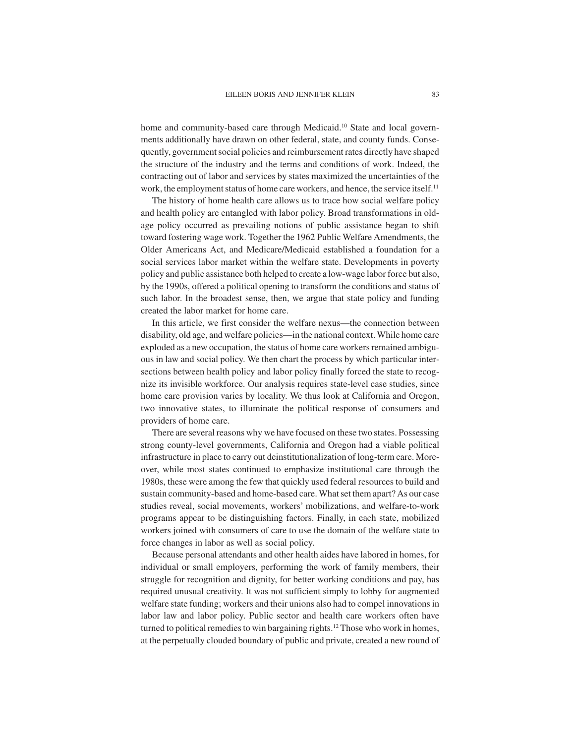home and community-based care through Medicaid.<sup>10</sup> State and local governments additionally have drawn on other federal, state, and county funds. Consequently, government social policies and reimbursement rates directly have shaped the structure of the industry and the terms and conditions of work. Indeed, the contracting out of labor and services by states maximized the uncertainties of the work, the employment status of home care workers, and hence, the service itself.<sup>11</sup>

The history of home health care allows us to trace how social welfare policy and health policy are entangled with labor policy. Broad transformations in oldage policy occurred as prevailing notions of public assistance began to shift toward fostering wage work. Together the 1962 Public Welfare Amendments, the Older Americans Act, and Medicare/Medicaid established a foundation for a social services labor market within the welfare state. Developments in poverty policy and public assistance both helped to create a low-wage labor force but also, by the 1990s, offered a political opening to transform the conditions and status of such labor. In the broadest sense, then, we argue that state policy and funding created the labor market for home care.

In this article, we first consider the welfare nexus—the connection between disability, old age, and welfare policies—in the national context. While home care exploded as a new occupation, the status of home care workers remained ambiguous in law and social policy. We then chart the process by which particular intersections between health policy and labor policy finally forced the state to recognize its invisible workforce. Our analysis requires state-level case studies, since home care provision varies by locality. We thus look at California and Oregon, two innovative states, to illuminate the political response of consumers and providers of home care.

There are several reasons why we have focused on these two states. Possessing strong county-level governments, California and Oregon had a viable political infrastructure in place to carry out deinstitutionalization of long-term care. Moreover, while most states continued to emphasize institutional care through the 1980s, these were among the few that quickly used federal resources to build and sustain community-based and home-based care. What set them apart? As our case studies reveal, social movements, workers' mobilizations, and welfare-to-work programs appear to be distinguishing factors. Finally, in each state, mobilized workers joined with consumers of care to use the domain of the welfare state to force changes in labor as well as social policy.

Because personal attendants and other health aides have labored in homes, for individual or small employers, performing the work of family members, their struggle for recognition and dignity, for better working conditions and pay, has required unusual creativity. It was not sufficient simply to lobby for augmented welfare state funding; workers and their unions also had to compel innovations in labor law and labor policy. Public sector and health care workers often have turned to political remedies to win bargaining rights.12 Those who work in homes, at the perpetually clouded boundary of public and private, created a new round of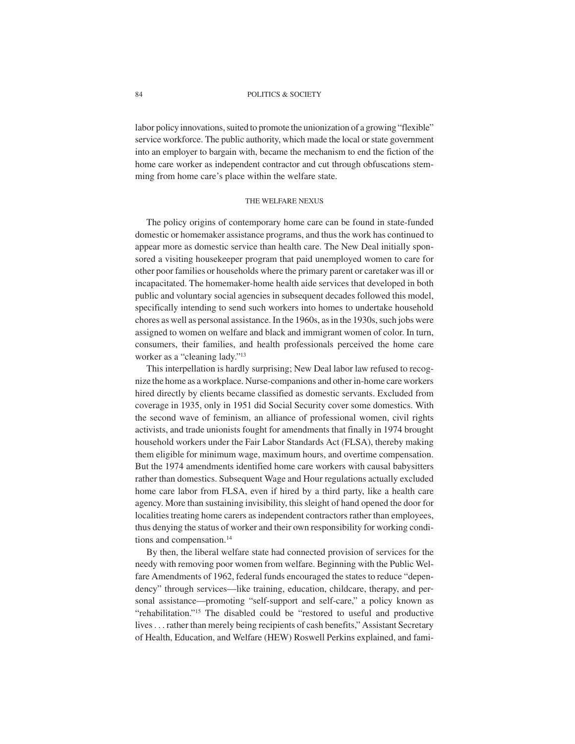labor policy innovations, suited to promote the unionization of a growing "flexible" service workforce. The public authority, which made the local or state government into an employer to bargain with, became the mechanism to end the fiction of the home care worker as independent contractor and cut through obfuscations stemming from home care's place within the welfare state.

### THE WELFARE NEXUS

The policy origins of contemporary home care can be found in state-funded domestic or homemaker assistance programs, and thus the work has continued to appear more as domestic service than health care. The New Deal initially sponsored a visiting housekeeper program that paid unemployed women to care for other poor families or households where the primary parent or caretaker was ill or incapacitated. The homemaker-home health aide services that developed in both public and voluntary social agencies in subsequent decades followed this model, specifically intending to send such workers into homes to undertake household chores as well as personal assistance. In the 1960s, as in the 1930s, such jobs were assigned to women on welfare and black and immigrant women of color. In turn, consumers, their families, and health professionals perceived the home care worker as a "cleaning lady."13

This interpellation is hardly surprising; New Deal labor law refused to recognize the home as a workplace. Nurse-companions and other in-home care workers hired directly by clients became classified as domestic servants. Excluded from coverage in 1935, only in 1951 did Social Security cover some domestics. With the second wave of feminism, an alliance of professional women, civil rights activists, and trade unionists fought for amendments that finally in 1974 brought household workers under the Fair Labor Standards Act (FLSA), thereby making them eligible for minimum wage, maximum hours, and overtime compensation. But the 1974 amendments identified home care workers with causal babysitters rather than domestics. Subsequent Wage and Hour regulations actually excluded home care labor from FLSA, even if hired by a third party, like a health care agency. More than sustaining invisibility, this sleight of hand opened the door for localities treating home carers as independent contractors rather than employees, thus denying the status of worker and their own responsibility for working conditions and compensation.<sup>14</sup>

By then, the liberal welfare state had connected provision of services for the needy with removing poor women from welfare. Beginning with the Public Welfare Amendments of 1962, federal funds encouraged the states to reduce "dependency" through services—like training, education, childcare, therapy, and personal assistance—promoting "self-support and self-care," a policy known as "rehabilitation."15 The disabled could be "restored to useful and productive lives . . . rather than merely being recipients of cash benefits," Assistant Secretary of Health, Education, and Welfare (HEW) Roswell Perkins explained, and fami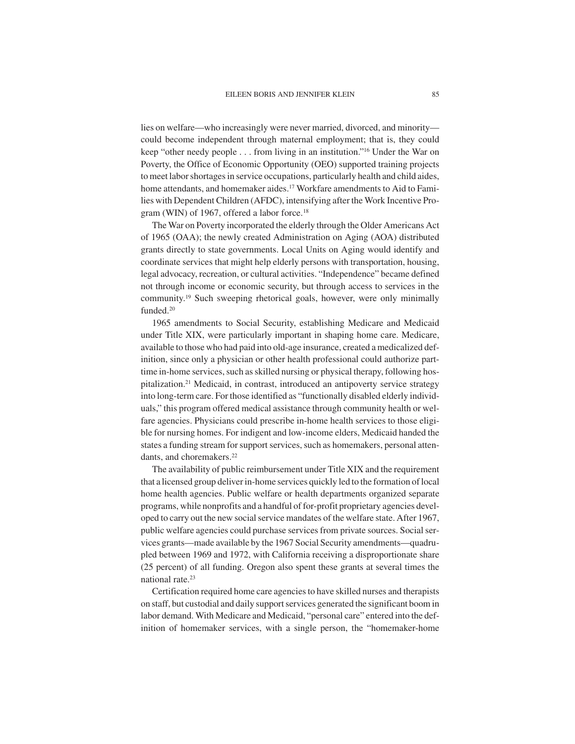lies on welfare—who increasingly were never married, divorced, and minority could become independent through maternal employment; that is, they could keep "other needy people . . . from living in an institution."16 Under the War on Poverty, the Office of Economic Opportunity (OEO) supported training projects to meet labor shortages in service occupations, particularly health and child aides, home attendants, and homemaker aides.<sup>17</sup> Workfare amendments to Aid to Families with Dependent Children (AFDC), intensifying after the Work Incentive Program (WIN) of 1967, offered a labor force.<sup>18</sup>

The War on Poverty incorporated the elderly through the Older Americans Act of 1965 (OAA); the newly created Administration on Aging (AOA) distributed grants directly to state governments. Local Units on Aging would identify and coordinate services that might help elderly persons with transportation, housing, legal advocacy, recreation, or cultural activities. "Independence" became defined not through income or economic security, but through access to services in the community.19 Such sweeping rhetorical goals, however, were only minimally funded.20

1965 amendments to Social Security, establishing Medicare and Medicaid under Title XIX, were particularly important in shaping home care. Medicare, available to those who had paid into old-age insurance, created a medicalized definition, since only a physician or other health professional could authorize parttime in-home services, such as skilled nursing or physical therapy, following hospitalization.21 Medicaid, in contrast, introduced an antipoverty service strategy into long-term care. For those identified as "functionally disabled elderly individuals," this program offered medical assistance through community health or welfare agencies. Physicians could prescribe in-home health services to those eligible for nursing homes. For indigent and low-income elders, Medicaid handed the states a funding stream for support services, such as homemakers, personal attendants, and choremakers.<sup>22</sup>

The availability of public reimbursement under Title XIX and the requirement that a licensed group deliver in-home services quickly led to the formation of local home health agencies. Public welfare or health departments organized separate programs, while nonprofits and a handful of for-profit proprietary agencies developed to carry out the new social service mandates of the welfare state. After 1967, public welfare agencies could purchase services from private sources. Social services grants—made available by the 1967 Social Security amendments—quadrupled between 1969 and 1972, with California receiving a disproportionate share (25 percent) of all funding. Oregon also spent these grants at several times the national rate.23

Certification required home care agencies to have skilled nurses and therapists on staff, but custodial and daily support services generated the significant boom in labor demand. With Medicare and Medicaid, "personal care" entered into the definition of homemaker services, with a single person, the "homemaker-home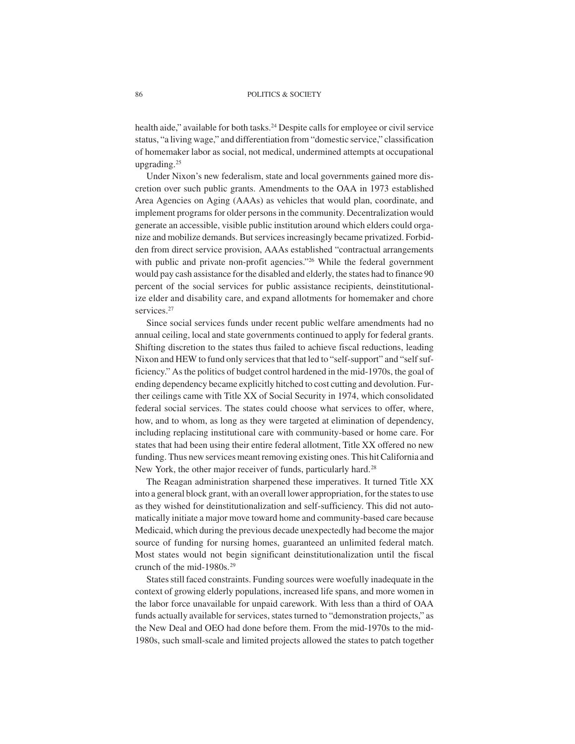health aide," available for both tasks.<sup>24</sup> Despite calls for employee or civil service status, "a living wage," and differentiation from "domestic service," classification of homemaker labor as social, not medical, undermined attempts at occupational upgrading.25

Under Nixon's new federalism, state and local governments gained more discretion over such public grants. Amendments to the OAA in 1973 established Area Agencies on Aging (AAAs) as vehicles that would plan, coordinate, and implement programs for older persons in the community. Decentralization would generate an accessible, visible public institution around which elders could organize and mobilize demands. But services increasingly became privatized. Forbidden from direct service provision, AAAs established "contractual arrangements with public and private non-profit agencies."<sup>26</sup> While the federal government would pay cash assistance for the disabled and elderly, the states had to finance 90 percent of the social services for public assistance recipients, deinstitutionalize elder and disability care, and expand allotments for homemaker and chore services.<sup>27</sup>

Since social services funds under recent public welfare amendments had no annual ceiling, local and state governments continued to apply for federal grants. Shifting discretion to the states thus failed to achieve fiscal reductions, leading Nixon and HEW to fund only services that that led to "self-support" and "self sufficiency." As the politics of budget control hardened in the mid-1970s, the goal of ending dependency became explicitly hitched to cost cutting and devolution. Further ceilings came with Title XX of Social Security in 1974, which consolidated federal social services. The states could choose what services to offer, where, how, and to whom, as long as they were targeted at elimination of dependency, including replacing institutional care with community-based or home care. For states that had been using their entire federal allotment, Title XX offered no new funding. Thus new services meant removing existing ones. This hit California and New York, the other major receiver of funds, particularly hard.28

The Reagan administration sharpened these imperatives. It turned Title XX into a general block grant, with an overall lower appropriation, for the states to use as they wished for deinstitutionalization and self-sufficiency. This did not automatically initiate a major move toward home and community-based care because Medicaid, which during the previous decade unexpectedly had become the major source of funding for nursing homes, guaranteed an unlimited federal match. Most states would not begin significant deinstitutionalization until the fiscal crunch of the mid-1980s.<sup>29</sup>

States still faced constraints. Funding sources were woefully inadequate in the context of growing elderly populations, increased life spans, and more women in the labor force unavailable for unpaid carework. With less than a third of OAA funds actually available for services, states turned to "demonstration projects," as the New Deal and OEO had done before them. From the mid-1970s to the mid-1980s, such small-scale and limited projects allowed the states to patch together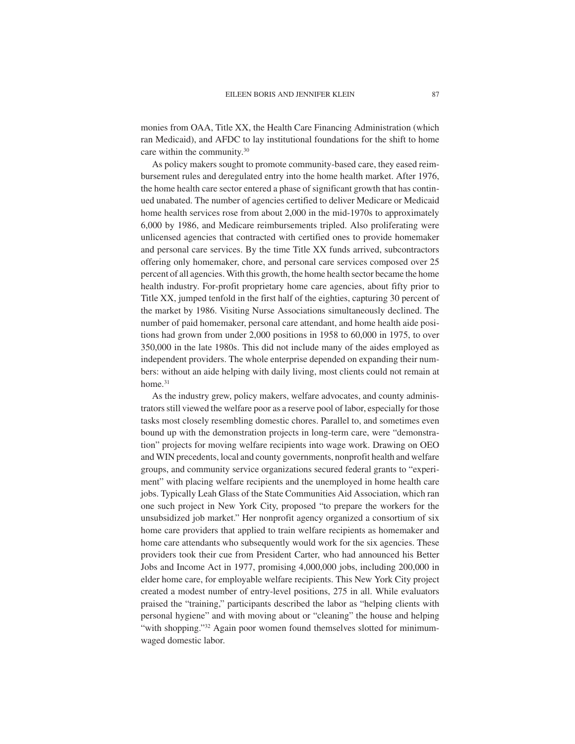monies from OAA, Title XX, the Health Care Financing Administration (which ran Medicaid), and AFDC to lay institutional foundations for the shift to home care within the community.30

As policy makers sought to promote community-based care, they eased reimbursement rules and deregulated entry into the home health market. After 1976, the home health care sector entered a phase of significant growth that has continued unabated. The number of agencies certified to deliver Medicare or Medicaid home health services rose from about 2,000 in the mid-1970s to approximately 6,000 by 1986, and Medicare reimbursements tripled. Also proliferating were unlicensed agencies that contracted with certified ones to provide homemaker and personal care services. By the time Title XX funds arrived, subcontractors offering only homemaker, chore, and personal care services composed over 25 percent of all agencies. With this growth, the home health sector became the home health industry. For-profit proprietary home care agencies, about fifty prior to Title XX, jumped tenfold in the first half of the eighties, capturing 30 percent of the market by 1986. Visiting Nurse Associations simultaneously declined. The number of paid homemaker, personal care attendant, and home health aide positions had grown from under 2,000 positions in 1958 to 60,000 in 1975, to over 350,000 in the late 1980s. This did not include many of the aides employed as independent providers. The whole enterprise depended on expanding their numbers: without an aide helping with daily living, most clients could not remain at home.<sup>31</sup>

As the industry grew, policy makers, welfare advocates, and county administrators still viewed the welfare poor as a reserve pool of labor, especially for those tasks most closely resembling domestic chores. Parallel to, and sometimes even bound up with the demonstration projects in long-term care, were "demonstration" projects for moving welfare recipients into wage work. Drawing on OEO and WIN precedents, local and county governments, nonprofit health and welfare groups, and community service organizations secured federal grants to "experiment" with placing welfare recipients and the unemployed in home health care jobs. Typically Leah Glass of the State Communities Aid Association, which ran one such project in New York City, proposed "to prepare the workers for the unsubsidized job market." Her nonprofit agency organized a consortium of six home care providers that applied to train welfare recipients as homemaker and home care attendants who subsequently would work for the six agencies. These providers took their cue from President Carter, who had announced his Better Jobs and Income Act in 1977, promising 4,000,000 jobs, including 200,000 in elder home care, for employable welfare recipients. This New York City project created a modest number of entry-level positions, 275 in all. While evaluators praised the "training," participants described the labor as "helping clients with personal hygiene" and with moving about or "cleaning" the house and helping "with shopping."<sup>32</sup> Again poor women found themselves slotted for minimumwaged domestic labor.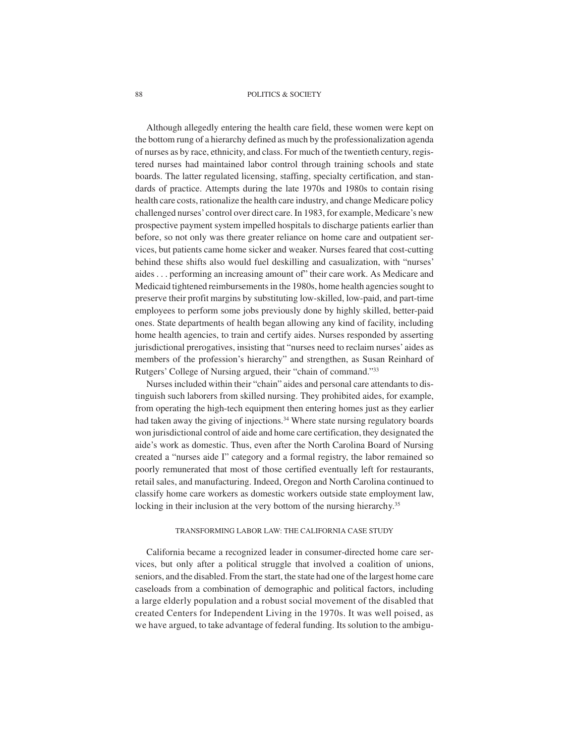Although allegedly entering the health care field, these women were kept on the bottom rung of a hierarchy defined as much by the professionalization agenda of nurses as by race, ethnicity, and class. For much of the twentieth century, registered nurses had maintained labor control through training schools and state boards. The latter regulated licensing, staffing, specialty certification, and standards of practice. Attempts during the late 1970s and 1980s to contain rising health care costs, rationalize the health care industry, and change Medicare policy challenged nurses'control over direct care. In 1983, for example, Medicare's new prospective payment system impelled hospitals to discharge patients earlier than before, so not only was there greater reliance on home care and outpatient services, but patients came home sicker and weaker. Nurses feared that cost-cutting behind these shifts also would fuel deskilling and casualization, with "nurses' aides . . . performing an increasing amount of" their care work. As Medicare and Medicaid tightened reimbursements in the 1980s, home health agencies sought to preserve their profit margins by substituting low-skilled, low-paid, and part-time employees to perform some jobs previously done by highly skilled, better-paid ones. State departments of health began allowing any kind of facility, including home health agencies, to train and certify aides. Nurses responded by asserting jurisdictional prerogatives, insisting that "nurses need to reclaim nurses' aides as members of the profession's hierarchy" and strengthen, as Susan Reinhard of Rutgers' College of Nursing argued, their "chain of command."33

Nurses included within their "chain" aides and personal care attendants to distinguish such laborers from skilled nursing. They prohibited aides, for example, from operating the high-tech equipment then entering homes just as they earlier had taken away the giving of injections.<sup>34</sup> Where state nursing regulatory boards won jurisdictional control of aide and home care certification, they designated the aide's work as domestic. Thus, even after the North Carolina Board of Nursing created a "nurses aide I" category and a formal registry, the labor remained so poorly remunerated that most of those certified eventually left for restaurants, retail sales, and manufacturing. Indeed, Oregon and North Carolina continued to classify home care workers as domestic workers outside state employment law, locking in their inclusion at the very bottom of the nursing hierarchy.<sup>35</sup>

#### TRANSFORMING LABOR LAW: THE CALIFORNIA CASE STUDY

California became a recognized leader in consumer-directed home care services, but only after a political struggle that involved a coalition of unions, seniors, and the disabled. From the start, the state had one of the largest home care caseloads from a combination of demographic and political factors, including a large elderly population and a robust social movement of the disabled that created Centers for Independent Living in the 1970s. It was well poised, as we have argued, to take advantage of federal funding. Its solution to the ambigu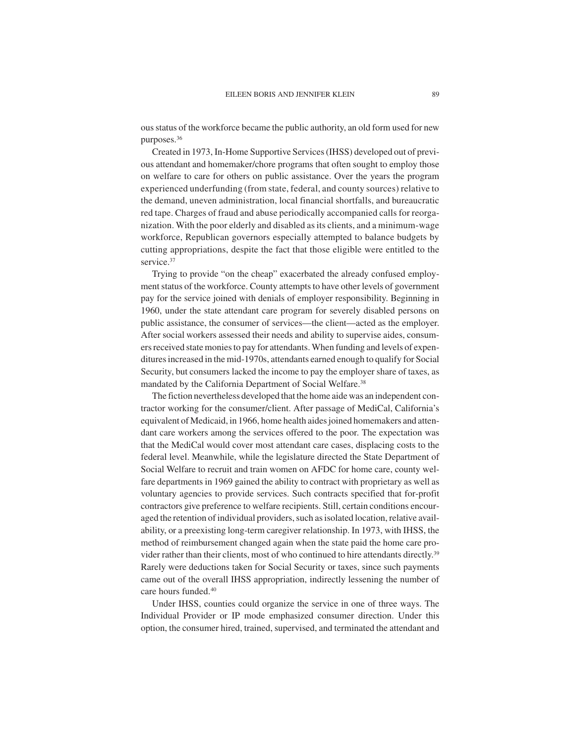ous status of the workforce became the public authority, an old form used for new purposes.36

Created in 1973, In-Home Supportive Services (IHSS) developed out of previous attendant and homemaker/chore programs that often sought to employ those on welfare to care for others on public assistance. Over the years the program experienced underfunding (from state, federal, and county sources) relative to the demand, uneven administration, local financial shortfalls, and bureaucratic red tape. Charges of fraud and abuse periodically accompanied calls for reorganization. With the poor elderly and disabled as its clients, and a minimum-wage workforce, Republican governors especially attempted to balance budgets by cutting appropriations, despite the fact that those eligible were entitled to the service.<sup>37</sup>

Trying to provide "on the cheap" exacerbated the already confused employment status of the workforce. County attempts to have other levels of government pay for the service joined with denials of employer responsibility. Beginning in 1960, under the state attendant care program for severely disabled persons on public assistance, the consumer of services—the client—acted as the employer. After social workers assessed their needs and ability to supervise aides, consumers received state monies to pay for attendants. When funding and levels of expenditures increased in the mid-1970s, attendants earned enough to qualify for Social Security, but consumers lacked the income to pay the employer share of taxes, as mandated by the California Department of Social Welfare.<sup>38</sup>

The fiction nevertheless developed that the home aide was an independent contractor working for the consumer/client. After passage of MediCal, California's equivalent of Medicaid, in 1966, home health aides joined homemakers and attendant care workers among the services offered to the poor. The expectation was that the MediCal would cover most attendant care cases, displacing costs to the federal level. Meanwhile, while the legislature directed the State Department of Social Welfare to recruit and train women on AFDC for home care, county welfare departments in 1969 gained the ability to contract with proprietary as well as voluntary agencies to provide services. Such contracts specified that for-profit contractors give preference to welfare recipients. Still, certain conditions encouraged the retention of individual providers, such as isolated location, relative availability, or a preexisting long-term caregiver relationship. In 1973, with IHSS, the method of reimbursement changed again when the state paid the home care provider rather than their clients, most of who continued to hire attendants directly.<sup>39</sup> Rarely were deductions taken for Social Security or taxes, since such payments came out of the overall IHSS appropriation, indirectly lessening the number of care hours funded.40

Under IHSS, counties could organize the service in one of three ways. The Individual Provider or IP mode emphasized consumer direction. Under this option, the consumer hired, trained, supervised, and terminated the attendant and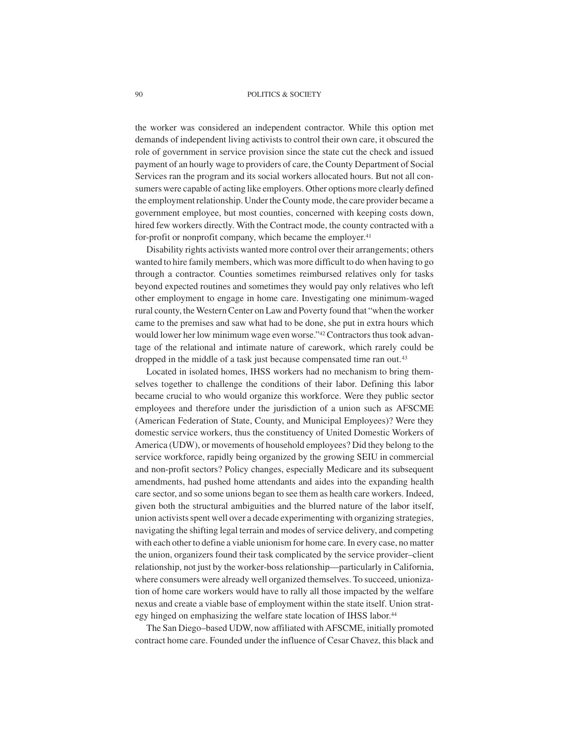the worker was considered an independent contractor. While this option met demands of independent living activists to control their own care, it obscured the role of government in service provision since the state cut the check and issued payment of an hourly wage to providers of care, the County Department of Social Services ran the program and its social workers allocated hours. But not all consumers were capable of acting like employers. Other options more clearly defined the employment relationship. Under the County mode, the care provider became a government employee, but most counties, concerned with keeping costs down, hired few workers directly. With the Contract mode, the county contracted with a for-profit or nonprofit company, which became the employer.<sup>41</sup>

Disability rights activists wanted more control over their arrangements; others wanted to hire family members, which was more difficult to do when having to go through a contractor. Counties sometimes reimbursed relatives only for tasks beyond expected routines and sometimes they would pay only relatives who left other employment to engage in home care. Investigating one minimum-waged rural county, the Western Center on Law and Poverty found that "when the worker came to the premises and saw what had to be done, she put in extra hours which would lower her low minimum wage even worse."42 Contractors thus took advantage of the relational and intimate nature of carework, which rarely could be dropped in the middle of a task just because compensated time ran out.<sup>43</sup>

Located in isolated homes, IHSS workers had no mechanism to bring themselves together to challenge the conditions of their labor. Defining this labor became crucial to who would organize this workforce. Were they public sector employees and therefore under the jurisdiction of a union such as AFSCME (American Federation of State, County, and Municipal Employees)? Were they domestic service workers, thus the constituency of United Domestic Workers of America (UDW), or movements of household employees? Did they belong to the service workforce, rapidly being organized by the growing SEIU in commercial and non-profit sectors? Policy changes, especially Medicare and its subsequent amendments, had pushed home attendants and aides into the expanding health care sector, and so some unions began to see them as health care workers. Indeed, given both the structural ambiguities and the blurred nature of the labor itself, union activists spent well over a decade experimenting with organizing strategies, navigating the shifting legal terrain and modes of service delivery, and competing with each other to define a viable unionism for home care. In every case, no matter the union, organizers found their task complicated by the service provider–client relationship, not just by the worker-boss relationship—particularly in California, where consumers were already well organized themselves. To succeed, unionization of home care workers would have to rally all those impacted by the welfare nexus and create a viable base of employment within the state itself. Union strategy hinged on emphasizing the welfare state location of IHSS labor.<sup>44</sup>

The San Diego–based UDW, now affiliated with AFSCME, initially promoted contract home care. Founded under the influence of Cesar Chavez, this black and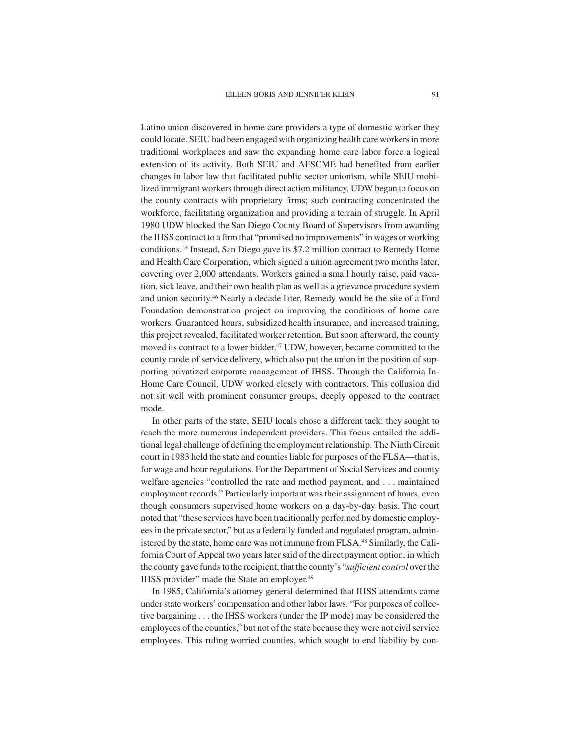Latino union discovered in home care providers a type of domestic worker they could locate. SEIU had been engaged with organizing health care workers in more traditional workplaces and saw the expanding home care labor force a logical extension of its activity. Both SEIU and AFSCME had benefited from earlier changes in labor law that facilitated public sector unionism, while SEIU mobilized immigrant workers through direct action militancy. UDW began to focus on the county contracts with proprietary firms; such contracting concentrated the workforce, facilitating organization and providing a terrain of struggle. In April 1980 UDW blocked the San Diego County Board of Supervisors from awarding the IHSS contract to a firm that "promised no improvements" in wages or working conditions.45 Instead, San Diego gave its \$7.2 million contract to Remedy Home and Health Care Corporation, which signed a union agreement two months later, covering over 2,000 attendants. Workers gained a small hourly raise, paid vacation, sick leave, and their own health plan as well as a grievance procedure system and union security.46 Nearly a decade later, Remedy would be the site of a Ford Foundation demonstration project on improving the conditions of home care workers. Guaranteed hours, subsidized health insurance, and increased training, this project revealed, facilitated worker retention. But soon afterward, the county moved its contract to a lower bidder.<sup>47</sup> UDW, however, became committed to the county mode of service delivery, which also put the union in the position of supporting privatized corporate management of IHSS. Through the California In-Home Care Council, UDW worked closely with contractors. This collusion did not sit well with prominent consumer groups, deeply opposed to the contract mode.

In other parts of the state, SEIU locals chose a different tack: they sought to reach the more numerous independent providers. This focus entailed the additional legal challenge of defining the employment relationship. The Ninth Circuit court in 1983 held the state and counties liable for purposes of the FLSA—that is, for wage and hour regulations. For the Department of Social Services and county welfare agencies "controlled the rate and method payment, and . . . maintained employment records." Particularly important was their assignment of hours, even though consumers supervised home workers on a day-by-day basis. The court noted that "these services have been traditionally performed by domestic employees in the private sector," but as a federally funded and regulated program, administered by the state, home care was not immune from FLSA.<sup>48</sup> Similarly, the California Court of Appeal two years later said of the direct payment option, in which the county gave funds to the recipient, that the county's "*sufficient control* over the IHSS provider" made the State an employer.49

In 1985, California's attorney general determined that IHSS attendants came under state workers'compensation and other labor laws. "For purposes of collective bargaining . . . the IHSS workers (under the IP mode) may be considered the employees of the counties," but not of the state because they were not civil service employees. This ruling worried counties, which sought to end liability by con-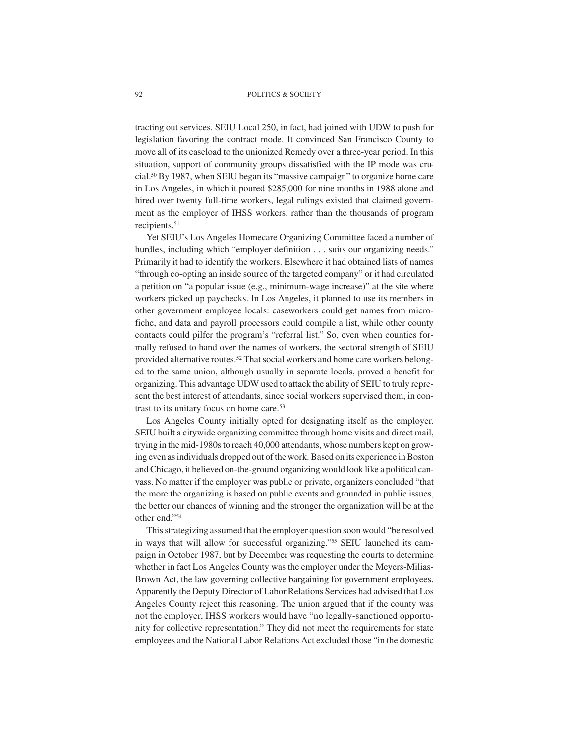tracting out services. SEIU Local 250, in fact, had joined with UDW to push for legislation favoring the contract mode. It convinced San Francisco County to move all of its caseload to the unionized Remedy over a three-year period. In this situation, support of community groups dissatisfied with the IP mode was crucial.50 By 1987, when SEIU began its "massive campaign" to organize home care in Los Angeles, in which it poured \$285,000 for nine months in 1988 alone and hired over twenty full-time workers, legal rulings existed that claimed government as the employer of IHSS workers, rather than the thousands of program recipients.51

Yet SEIU's Los Angeles Homecare Organizing Committee faced a number of hurdles, including which "employer definition . . . suits our organizing needs." Primarily it had to identify the workers. Elsewhere it had obtained lists of names "through co-opting an inside source of the targeted company" or it had circulated a petition on "a popular issue (e.g., minimum-wage increase)" at the site where workers picked up paychecks. In Los Angeles, it planned to use its members in other government employee locals: caseworkers could get names from microfiche, and data and payroll processors could compile a list, while other county contacts could pilfer the program's "referral list." So, even when counties formally refused to hand over the names of workers, the sectoral strength of SEIU provided alternative routes.52 That social workers and home care workers belonged to the same union, although usually in separate locals, proved a benefit for organizing. This advantage UDW used to attack the ability of SEIU to truly represent the best interest of attendants, since social workers supervised them, in contrast to its unitary focus on home care.<sup>53</sup>

Los Angeles County initially opted for designating itself as the employer. SEIU built a citywide organizing committee through home visits and direct mail, trying in the mid-1980s to reach 40,000 attendants, whose numbers kept on growing even as individuals dropped out of the work. Based on its experience in Boston and Chicago, it believed on-the-ground organizing would look like a political canvass. No matter if the employer was public or private, organizers concluded "that the more the organizing is based on public events and grounded in public issues, the better our chances of winning and the stronger the organization will be at the other end."54

This strategizing assumed that the employer question soon would "be resolved in ways that will allow for successful organizing."55 SEIU launched its campaign in October 1987, but by December was requesting the courts to determine whether in fact Los Angeles County was the employer under the Meyers-Milias-Brown Act, the law governing collective bargaining for government employees. Apparently the Deputy Director of Labor Relations Services had advised that Los Angeles County reject this reasoning. The union argued that if the county was not the employer, IHSS workers would have "no legally-sanctioned opportunity for collective representation." They did not meet the requirements for state employees and the National Labor Relations Act excluded those "in the domestic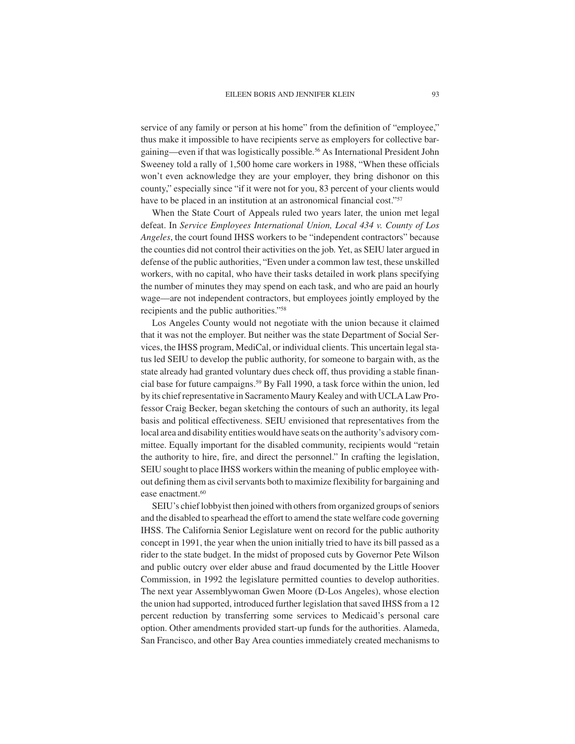service of any family or person at his home" from the definition of "employee," thus make it impossible to have recipients serve as employers for collective bargaining—even if that was logistically possible.56 As International President John Sweeney told a rally of 1,500 home care workers in 1988, "When these officials won't even acknowledge they are your employer, they bring dishonor on this county," especially since "if it were not for you, 83 percent of your clients would have to be placed in an institution at an astronomical financial cost."<sup>57</sup>

When the State Court of Appeals ruled two years later, the union met legal defeat. In *Service Employees International Union, Local 434 v. County of Los Angeles*, the court found IHSS workers to be "independent contractors" because the counties did not control their activities on the job. Yet, as SEIU later argued in defense of the public authorities, "Even under a common law test, these unskilled workers, with no capital, who have their tasks detailed in work plans specifying the number of minutes they may spend on each task, and who are paid an hourly wage—are not independent contractors, but employees jointly employed by the recipients and the public authorities."58

Los Angeles County would not negotiate with the union because it claimed that it was not the employer. But neither was the state Department of Social Services, the IHSS program, MediCal, or individual clients. This uncertain legal status led SEIU to develop the public authority, for someone to bargain with, as the state already had granted voluntary dues check off, thus providing a stable financial base for future campaigns.59 By Fall 1990, a task force within the union, led by its chief representative in Sacramento Maury Kealey and with UCLA Law Professor Craig Becker, began sketching the contours of such an authority, its legal basis and political effectiveness. SEIU envisioned that representatives from the local area and disability entities would have seats on the authority's advisory committee. Equally important for the disabled community, recipients would "retain the authority to hire, fire, and direct the personnel." In crafting the legislation, SEIU sought to place IHSS workers within the meaning of public employee without defining them as civil servants both to maximize flexibility for bargaining and ease enactment.<sup>60</sup>

SEIU's chief lobbyist then joined with others from organized groups of seniors and the disabled to spearhead the effort to amend the state welfare code governing IHSS. The California Senior Legislature went on record for the public authority concept in 1991, the year when the union initially tried to have its bill passed as a rider to the state budget. In the midst of proposed cuts by Governor Pete Wilson and public outcry over elder abuse and fraud documented by the Little Hoover Commission, in 1992 the legislature permitted counties to develop authorities. The next year Assemblywoman Gwen Moore (D-Los Angeles), whose election the union had supported, introduced further legislation that saved IHSS from a 12 percent reduction by transferring some services to Medicaid's personal care option. Other amendments provided start-up funds for the authorities. Alameda, San Francisco, and other Bay Area counties immediately created mechanisms to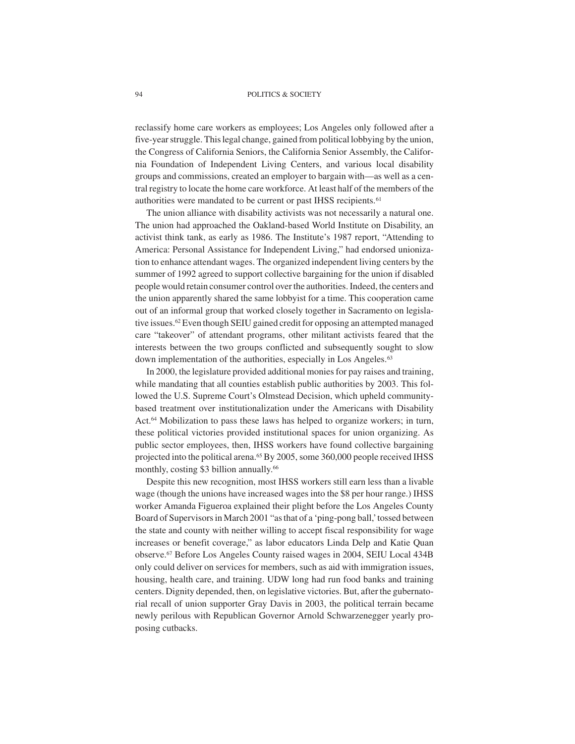reclassify home care workers as employees; Los Angeles only followed after a five-year struggle. This legal change, gained from political lobbying by the union, the Congress of California Seniors, the California Senior Assembly, the California Foundation of Independent Living Centers, and various local disability groups and commissions, created an employer to bargain with—as well as a central registry to locate the home care workforce. At least half of the members of the authorities were mandated to be current or past IHSS recipients.<sup>61</sup>

The union alliance with disability activists was not necessarily a natural one. The union had approached the Oakland-based World Institute on Disability, an activist think tank, as early as 1986. The Institute's 1987 report, "Attending to America: Personal Assistance for Independent Living," had endorsed unionization to enhance attendant wages. The organized independent living centers by the summer of 1992 agreed to support collective bargaining for the union if disabled people would retain consumer control over the authorities. Indeed, the centers and the union apparently shared the same lobbyist for a time. This cooperation came out of an informal group that worked closely together in Sacramento on legislative issues.62 Even though SEIU gained credit for opposing an attempted managed care "takeover" of attendant programs, other militant activists feared that the interests between the two groups conflicted and subsequently sought to slow down implementation of the authorities, especially in Los Angeles.<sup>63</sup>

In 2000, the legislature provided additional monies for pay raises and training, while mandating that all counties establish public authorities by 2003. This followed the U.S. Supreme Court's Olmstead Decision, which upheld communitybased treatment over institutionalization under the Americans with Disability Act.64 Mobilization to pass these laws has helped to organize workers; in turn, these political victories provided institutional spaces for union organizing. As public sector employees, then, IHSS workers have found collective bargaining projected into the political arena.<sup>65</sup> By 2005, some 360,000 people received IHSS monthly, costing \$3 billion annually.<sup>66</sup>

Despite this new recognition, most IHSS workers still earn less than a livable wage (though the unions have increased wages into the \$8 per hour range.) IHSS worker Amanda Figueroa explained their plight before the Los Angeles County Board of Supervisors in March 2001 "as that of a 'ping-pong ball,'tossed between the state and county with neither willing to accept fiscal responsibility for wage increases or benefit coverage," as labor educators Linda Delp and Katie Quan observe.67 Before Los Angeles County raised wages in 2004, SEIU Local 434B only could deliver on services for members, such as aid with immigration issues, housing, health care, and training. UDW long had run food banks and training centers. Dignity depended, then, on legislative victories. But, after the gubernatorial recall of union supporter Gray Davis in 2003, the political terrain became newly perilous with Republican Governor Arnold Schwarzenegger yearly proposing cutbacks.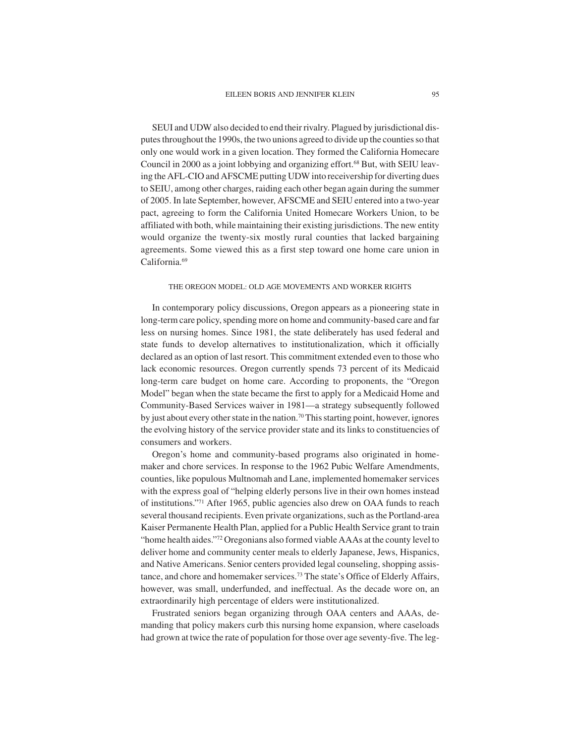SEUI and UDW also decided to end their rivalry. Plagued by jurisdictional disputes throughout the 1990s, the two unions agreed to divide up the counties so that only one would work in a given location. They formed the California Homecare Council in 2000 as a joint lobbying and organizing effort.<sup>68</sup> But, with SEIU leaving the AFL-CIO and AFSCME putting UDW into receivership for diverting dues to SEIU, among other charges, raiding each other began again during the summer of 2005. In late September, however, AFSCME and SEIU entered into a two-year pact, agreeing to form the California United Homecare Workers Union, to be affiliated with both, while maintaining their existing jurisdictions. The new entity would organize the twenty-six mostly rural counties that lacked bargaining agreements. Some viewed this as a first step toward one home care union in California.69

#### THE OREGON MODEL: OLD AGE MOVEMENTS AND WORKER RIGHTS

In contemporary policy discussions, Oregon appears as a pioneering state in long-term care policy, spending more on home and community-based care and far less on nursing homes. Since 1981, the state deliberately has used federal and state funds to develop alternatives to institutionalization, which it officially declared as an option of last resort. This commitment extended even to those who lack economic resources. Oregon currently spends 73 percent of its Medicaid long-term care budget on home care. According to proponents, the "Oregon Model" began when the state became the first to apply for a Medicaid Home and Community-Based Services waiver in 1981—a strategy subsequently followed by just about every other state in the nation.<sup>70</sup> This starting point, however, ignores the evolving history of the service provider state and its links to constituencies of consumers and workers.

Oregon's home and community-based programs also originated in homemaker and chore services. In response to the 1962 Pubic Welfare Amendments, counties, like populous Multnomah and Lane, implemented homemaker services with the express goal of "helping elderly persons live in their own homes instead of institutions."71 After 1965, public agencies also drew on OAA funds to reach several thousand recipients. Even private organizations, such as the Portland-area Kaiser Permanente Health Plan, applied for a Public Health Service grant to train "home health aides."72 Oregonians also formed viable AAAs at the county level to deliver home and community center meals to elderly Japanese, Jews, Hispanics, and Native Americans. Senior centers provided legal counseling, shopping assistance, and chore and homemaker services.73 The state's Office of Elderly Affairs, however, was small, underfunded, and ineffectual. As the decade wore on, an extraordinarily high percentage of elders were institutionalized.

Frustrated seniors began organizing through OAA centers and AAAs, demanding that policy makers curb this nursing home expansion, where caseloads had grown at twice the rate of population for those over age seventy-five. The leg-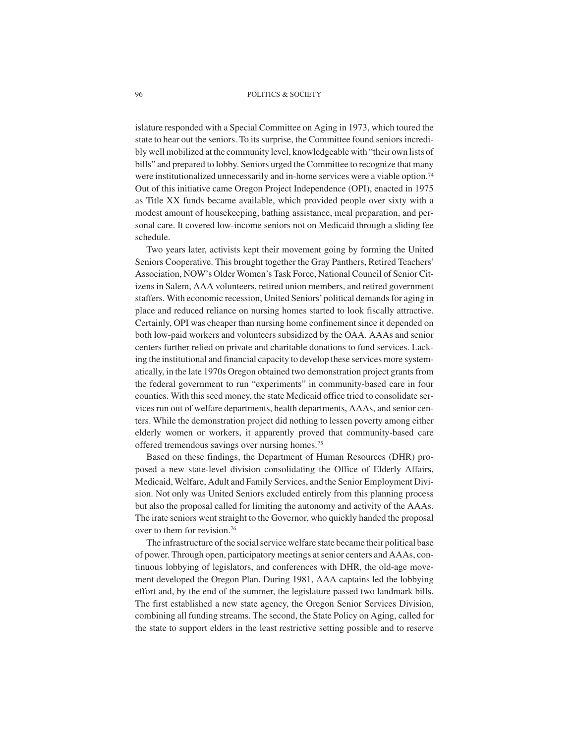islature responded with a Special Committee on Aging in 1973, which toured the state to hear out the seniors. To its surprise, the Committee found seniors incredibly well mobilized at the community level, knowledgeable with "their own lists of bills" and prepared to lobby. Seniors urged the Committee to recognize that many were institutionalized unnecessarily and in-home services were a viable option.<sup>74</sup> Out of this initiative came Oregon Project Independence (OPI), enacted in 1975 as Title XX funds became available, which provided people over sixty with a modest amount of housekeeping, bathing assistance, meal preparation, and personal care. It covered low-income seniors not on Medicaid through a sliding fee schedule.

Two years later, activists kept their movement going by forming the United Seniors Cooperative. This brought together the Gray Panthers, Retired Teachers' Association, NOW's Older Women's Task Force, National Council of Senior Citizens in Salem, AAA volunteers, retired union members, and retired government staffers. With economic recession, United Seniors'political demands for aging in place and reduced reliance on nursing homes started to look fiscally attractive. Certainly, OPI was cheaper than nursing home confinement since it depended on both low-paid workers and volunteers subsidized by the OAA. AAAs and senior centers further relied on private and charitable donations to fund services. Lacking the institutional and financial capacity to develop these services more systematically, in the late 1970s Oregon obtained two demonstration project grants from the federal government to run "experiments" in community-based care in four counties. With this seed money, the state Medicaid office tried to consolidate services run out of welfare departments, health departments, AAAs, and senior centers. While the demonstration project did nothing to lessen poverty among either elderly women or workers, it apparently proved that community-based care offered tremendous savings over nursing homes.75

Based on these findings, the Department of Human Resources (DHR) proposed a new state-level division consolidating the Office of Elderly Affairs, Medicaid, Welfare, Adult and Family Services, and the Senior Employment Division. Not only was United Seniors excluded entirely from this planning process but also the proposal called for limiting the autonomy and activity of the AAAs. The irate seniors went straight to the Governor, who quickly handed the proposal over to them for revision.76

The infrastructure of the social service welfare state became their political base of power. Through open, participatory meetings at senior centers and AAAs, continuous lobbying of legislators, and conferences with DHR, the old-age movement developed the Oregon Plan. During 1981, AAA captains led the lobbying effort and, by the end of the summer, the legislature passed two landmark bills. The first established a new state agency, the Oregon Senior Services Division, combining all funding streams. The second, the State Policy on Aging, called for the state to support elders in the least restrictive setting possible and to reserve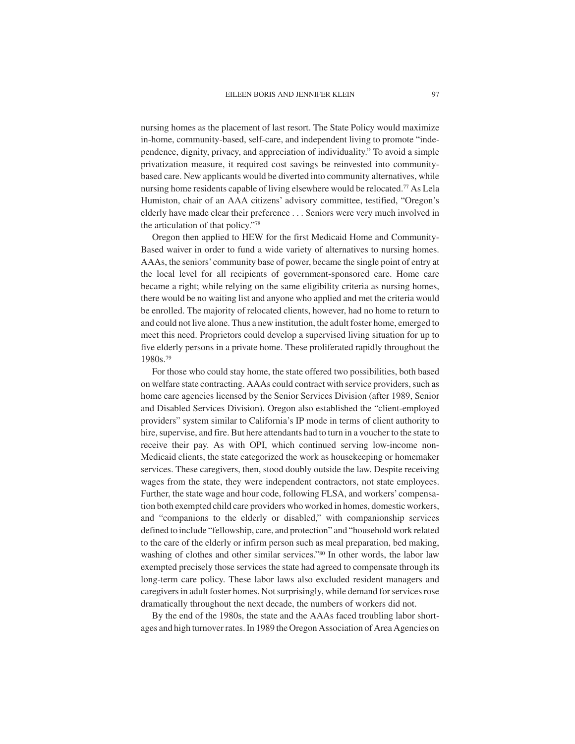nursing homes as the placement of last resort. The State Policy would maximize in-home, community-based, self-care, and independent living to promote "independence, dignity, privacy, and appreciation of individuality." To avoid a simple privatization measure, it required cost savings be reinvested into communitybased care. New applicants would be diverted into community alternatives, while nursing home residents capable of living elsewhere would be relocated.77 As Lela Humiston, chair of an AAA citizens' advisory committee, testified, "Oregon's elderly have made clear their preference . . . Seniors were very much involved in the articulation of that policy."78

Oregon then applied to HEW for the first Medicaid Home and Community-Based waiver in order to fund a wide variety of alternatives to nursing homes. AAAs, the seniors'community base of power, became the single point of entry at the local level for all recipients of government-sponsored care. Home care became a right; while relying on the same eligibility criteria as nursing homes, there would be no waiting list and anyone who applied and met the criteria would be enrolled. The majority of relocated clients, however, had no home to return to and could not live alone. Thus a new institution, the adult foster home, emerged to meet this need. Proprietors could develop a supervised living situation for up to five elderly persons in a private home. These proliferated rapidly throughout the 1980s.79

For those who could stay home, the state offered two possibilities, both based on welfare state contracting. AAAs could contract with service providers, such as home care agencies licensed by the Senior Services Division (after 1989, Senior and Disabled Services Division). Oregon also established the "client-employed providers" system similar to California's IP mode in terms of client authority to hire, supervise, and fire. But here attendants had to turn in a voucher to the state to receive their pay. As with OPI, which continued serving low-income non-Medicaid clients, the state categorized the work as housekeeping or homemaker services. These caregivers, then, stood doubly outside the law. Despite receiving wages from the state, they were independent contractors, not state employees. Further, the state wage and hour code, following FLSA, and workers' compensation both exempted child care providers who worked in homes, domestic workers, and "companions to the elderly or disabled," with companionship services defined to include "fellowship, care, and protection" and "household work related to the care of the elderly or infirm person such as meal preparation, bed making, washing of clothes and other similar services."<sup>80</sup> In other words, the labor law exempted precisely those services the state had agreed to compensate through its long-term care policy. These labor laws also excluded resident managers and caregivers in adult foster homes. Not surprisingly, while demand for services rose dramatically throughout the next decade, the numbers of workers did not.

By the end of the 1980s, the state and the AAAs faced troubling labor shortages and high turnover rates. In 1989 the Oregon Association of Area Agencies on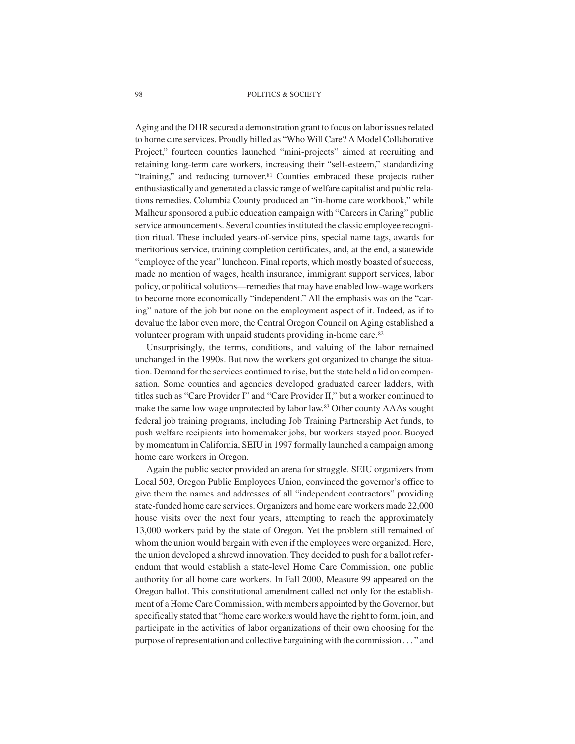Aging and the DHR secured a demonstration grant to focus on labor issues related to home care services. Proudly billed as "Who Will Care? A Model Collaborative Project," fourteen counties launched "mini-projects" aimed at recruiting and retaining long-term care workers, increasing their "self-esteem," standardizing "training," and reducing turnover.81 Counties embraced these projects rather enthusiastically and generated a classic range of welfare capitalist and public relations remedies. Columbia County produced an "in-home care workbook," while Malheur sponsored a public education campaign with "Careers in Caring" public service announcements. Several counties instituted the classic employee recognition ritual. These included years-of-service pins, special name tags, awards for meritorious service, training completion certificates, and, at the end, a statewide "employee of the year" luncheon. Final reports, which mostly boasted of success, made no mention of wages, health insurance, immigrant support services, labor policy, or political solutions—remedies that may have enabled low-wage workers to become more economically "independent." All the emphasis was on the "caring" nature of the job but none on the employment aspect of it. Indeed, as if to devalue the labor even more, the Central Oregon Council on Aging established a volunteer program with unpaid students providing in-home care.<sup>82</sup>

Unsurprisingly, the terms, conditions, and valuing of the labor remained unchanged in the 1990s. But now the workers got organized to change the situation. Demand for the services continued to rise, but the state held a lid on compensation. Some counties and agencies developed graduated career ladders, with titles such as "Care Provider I" and "Care Provider II," but a worker continued to make the same low wage unprotected by labor law.<sup>83</sup> Other county AAAs sought federal job training programs, including Job Training Partnership Act funds, to push welfare recipients into homemaker jobs, but workers stayed poor. Buoyed by momentum in California, SEIU in 1997 formally launched a campaign among home care workers in Oregon.

Again the public sector provided an arena for struggle. SEIU organizers from Local 503, Oregon Public Employees Union, convinced the governor's office to give them the names and addresses of all "independent contractors" providing state-funded home care services. Organizers and home care workers made 22,000 house visits over the next four years, attempting to reach the approximately 13,000 workers paid by the state of Oregon. Yet the problem still remained of whom the union would bargain with even if the employees were organized. Here, the union developed a shrewd innovation. They decided to push for a ballot referendum that would establish a state-level Home Care Commission, one public authority for all home care workers. In Fall 2000, Measure 99 appeared on the Oregon ballot. This constitutional amendment called not only for the establishment of a Home Care Commission, with members appointed by the Governor, but specifically stated that "home care workers would have the right to form, join, and participate in the activities of labor organizations of their own choosing for the purpose of representation and collective bargaining with the commission . . . " and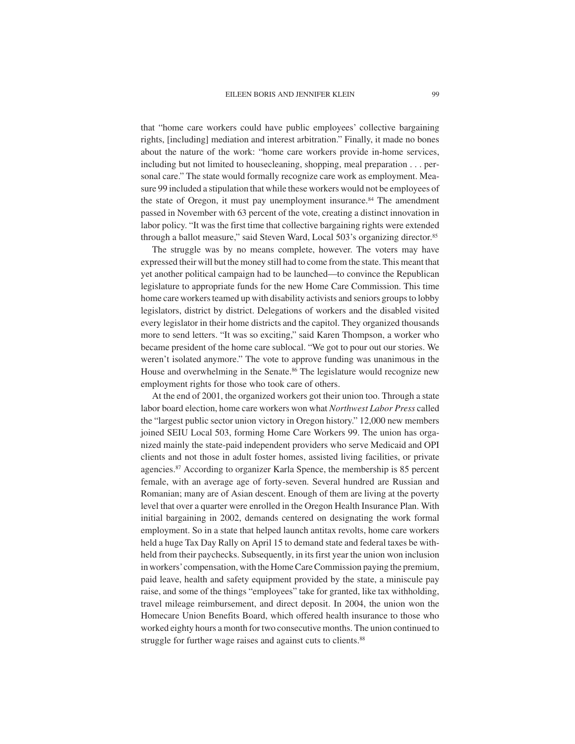that "home care workers could have public employees' collective bargaining rights, [including] mediation and interest arbitration." Finally, it made no bones about the nature of the work: "home care workers provide in-home services, including but not limited to housecleaning, shopping, meal preparation . . . personal care." The state would formally recognize care work as employment. Measure 99 included a stipulation that while these workers would not be employees of the state of Oregon, it must pay unemployment insurance.<sup>84</sup> The amendment passed in November with 63 percent of the vote, creating a distinct innovation in labor policy. "It was the first time that collective bargaining rights were extended through a ballot measure," said Steven Ward, Local 503's organizing director.<sup>85</sup>

The struggle was by no means complete, however. The voters may have expressed their will but the money still had to come from the state. This meant that yet another political campaign had to be launched—to convince the Republican legislature to appropriate funds for the new Home Care Commission. This time home care workers teamed up with disability activists and seniors groups to lobby legislators, district by district. Delegations of workers and the disabled visited every legislator in their home districts and the capitol. They organized thousands more to send letters. "It was so exciting," said Karen Thompson, a worker who became president of the home care sublocal. "We got to pour out our stories. We weren't isolated anymore." The vote to approve funding was unanimous in the House and overwhelming in the Senate.<sup>86</sup> The legislature would recognize new employment rights for those who took care of others.

At the end of 2001, the organized workers got their union too. Through a state labor board election, home care workers won what *Northwest Labor Press* called the "largest public sector union victory in Oregon history." 12,000 new members joined SEIU Local 503, forming Home Care Workers 99. The union has organized mainly the state-paid independent providers who serve Medicaid and OPI clients and not those in adult foster homes, assisted living facilities, or private agencies.87 According to organizer Karla Spence, the membership is 85 percent female, with an average age of forty-seven. Several hundred are Russian and Romanian; many are of Asian descent. Enough of them are living at the poverty level that over a quarter were enrolled in the Oregon Health Insurance Plan. With initial bargaining in 2002, demands centered on designating the work formal employment. So in a state that helped launch antitax revolts, home care workers held a huge Tax Day Rally on April 15 to demand state and federal taxes be withheld from their paychecks. Subsequently, in its first year the union won inclusion in workers'compensation, with the Home Care Commission paying the premium, paid leave, health and safety equipment provided by the state, a miniscule pay raise, and some of the things "employees" take for granted, like tax withholding, travel mileage reimbursement, and direct deposit. In 2004, the union won the Homecare Union Benefits Board, which offered health insurance to those who worked eighty hours a month for two consecutive months. The union continued to struggle for further wage raises and against cuts to clients.<sup>88</sup>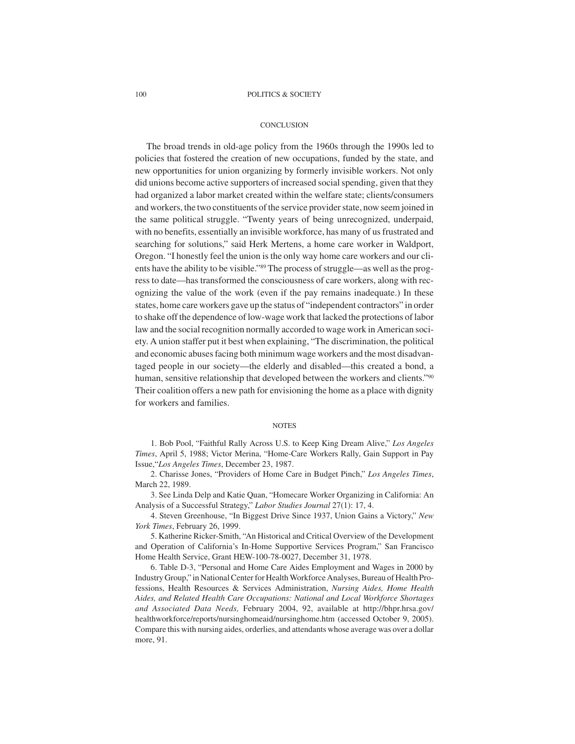#### **CONCLUSION**

The broad trends in old-age policy from the 1960s through the 1990s led to policies that fostered the creation of new occupations, funded by the state, and new opportunities for union organizing by formerly invisible workers. Not only did unions become active supporters of increased social spending, given that they had organized a labor market created within the welfare state; clients/consumers and workers, the two constituents of the service provider state, now seem joined in the same political struggle. "Twenty years of being unrecognized, underpaid, with no benefits, essentially an invisible workforce, has many of us frustrated and searching for solutions," said Herk Mertens, a home care worker in Waldport, Oregon. "I honestly feel the union is the only way home care workers and our clients have the ability to be visible."89 The process of struggle—as well as the progress to date—has transformed the consciousness of care workers, along with recognizing the value of the work (even if the pay remains inadequate.) In these states, home care workers gave up the status of "independent contractors" in order to shake off the dependence of low-wage work that lacked the protections of labor law and the social recognition normally accorded to wage work in American society. A union staffer put it best when explaining, "The discrimination, the political and economic abuses facing both minimum wage workers and the most disadvantaged people in our society—the elderly and disabled—this created a bond, a human, sensitive relationship that developed between the workers and clients."<sup>90</sup> Their coalition offers a new path for envisioning the home as a place with dignity for workers and families.

#### **NOTES**

1. Bob Pool, "Faithful Rally Across U.S. to Keep King Dream Alive," *Los Angeles Times*, April 5, 1988; Victor Merina, "Home-Care Workers Rally, Gain Support in Pay Issue,"*Los Angeles Times*, December 23, 1987.

2. Charisse Jones, "Providers of Home Care in Budget Pinch," *Los Angeles Times*, March 22, 1989.

3. See Linda Delp and Katie Quan, "Homecare Worker Organizing in California: An Analysis of a Successful Strategy," *Labor Studies Journal* 27(1): 17, 4.

4. Steven Greenhouse, "In Biggest Drive Since 1937, Union Gains a Victory," *New York Times*, February 26, 1999.

5. Katherine Ricker-Smith, "An Historical and Critical Overview of the Development and Operation of California's In-Home Supportive Services Program," San Francisco Home Health Service, Grant HEW-100-78-0027, December 31, 1978.

6. Table D-3, "Personal and Home Care Aides Employment and Wages in 2000 by Industry Group," in National Center for Health Workforce Analyses, Bureau of Health Professions, Health Resources & Services Administration, *Nursing Aides, Home Health Aides, and Related Health Care Occupations: National and Local Workforce Shortages and Associated Data Needs,* February 2004, 92, available at http://bhpr.hrsa.gov/ healthworkforce/reports/nursinghomeaid/nursinghome.htm (accessed October 9, 2005). Compare this with nursing aides, orderlies, and attendants whose average was over a dollar more, 91.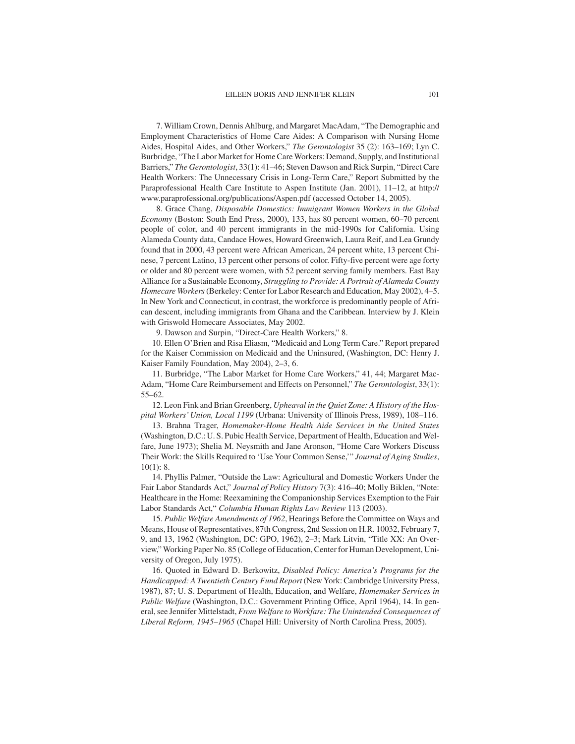7. William Crown, Dennis Ahlburg, and Margaret MacAdam, "The Demographic and Employment Characteristics of Home Care Aides: A Comparison with Nursing Home Aides, Hospital Aides, and Other Workers," *The Gerontologist* 35 (2): 163–169; Lyn C. Burbridge, "The Labor Market for Home Care Workers: Demand, Supply, and Institutional Barriers," *The Gerontologist*, 33(1): 41–46; Steven Dawson and Rick Surpin, "Direct Care Health Workers: The Unnecessary Crisis in Long-Term Care," Report Submitted by the Paraprofessional Health Care Institute to Aspen Institute (Jan. 2001), 11–12, at http:// www.paraprofessional.org/publications/Aspen.pdf (accessed October 14, 2005).

8. Grace Chang, *Disposable Domestics: Immigrant Women Workers in the Global Economy* (Boston: South End Press, 2000), 133, has 80 percent women, 60–70 percent people of color, and 40 percent immigrants in the mid-1990s for California. Using Alameda County data, Candace Howes, Howard Greenwich, Laura Reif, and Lea Grundy found that in 2000, 43 percent were African American, 24 percent white, 13 percent Chinese, 7 percent Latino, 13 percent other persons of color. Fifty-five percent were age forty or older and 80 percent were women, with 52 percent serving family members. East Bay Alliance for a Sustainable Economy, *Struggling to Provide: A Portrait of Alameda County Homecare Workers*(Berkeley: Center for Labor Research and Education, May 2002), 4–5. In New York and Connecticut, in contrast, the workforce is predominantly people of African descent, including immigrants from Ghana and the Caribbean. Interview by J. Klein with Griswold Homecare Associates, May 2002.

9. Dawson and Surpin, "Direct-Care Health Workers," 8.

10. Ellen O'Brien and Risa Eliasm, "Medicaid and Long Term Care." Report prepared for the Kaiser Commission on Medicaid and the Uninsured, (Washington, DC: Henry J. Kaiser Family Foundation, May 2004), 2–3, 6.

11. Burbridge, "The Labor Market for Home Care Workers," 41, 44; Margaret Mac-Adam, "Home Care Reimbursement and Effects on Personnel," *The Gerontologist*, 33(1): 55–62.

12. Leon Fink and Brian Greenberg, *Upheaval in the Quiet Zone: A History of the Hospital Workers' Union, Local 1199* (Urbana: University of Illinois Press, 1989), 108–116.

13. Brahna Trager, *Homemaker-Home Health Aide Services in the United States* (Washington, D.C.: U. S. Pubic Health Service, Department of Health, Education and Welfare, June 1973); Shelia M. Neysmith and Jane Aronson, "Home Care Workers Discuss Their Work: the Skills Required to 'Use Your Common Sense,'" *Journal of Aging Studies*, 10(1): 8.

14. Phyllis Palmer, "Outside the Law: Agricultural and Domestic Workers Under the Fair Labor Standards Act," *Journal of Policy History* 7(3): 416–40; Molly Biklen, "Note: Healthcare in the Home: Reexamining the Companionship Services Exemption to the Fair Labor Standards Act," *Columbia Human Rights Law Review* 113 (2003).

15. *Public Welfare Amendments of 1962*, Hearings Before the Committee on Ways and Means, House of Representatives, 87th Congress, 2nd Session on H.R. 10032, February 7, 9, and 13, 1962 (Washington, DC: GPO, 1962), 2–3; Mark Litvin, "Title XX: An Overview," Working Paper No. 85 (College of Education, Center for Human Development, University of Oregon, July 1975).

16. Quoted in Edward D. Berkowitz, *Disabled Policy: America's Programs for the Handicapped: A Twentieth Century Fund Report* (New York: Cambridge University Press, 1987), 87; U. S. Department of Health, Education, and Welfare, *Homemaker Services in Public Welfare* (Washington, D.C.: Government Printing Office, April 1964), 14. In general, see Jennifer Mittelstadt, *From Welfare to Workfare: The Unintended Consequences of Liberal Reform, 1945–1965* (Chapel Hill: University of North Carolina Press, 2005).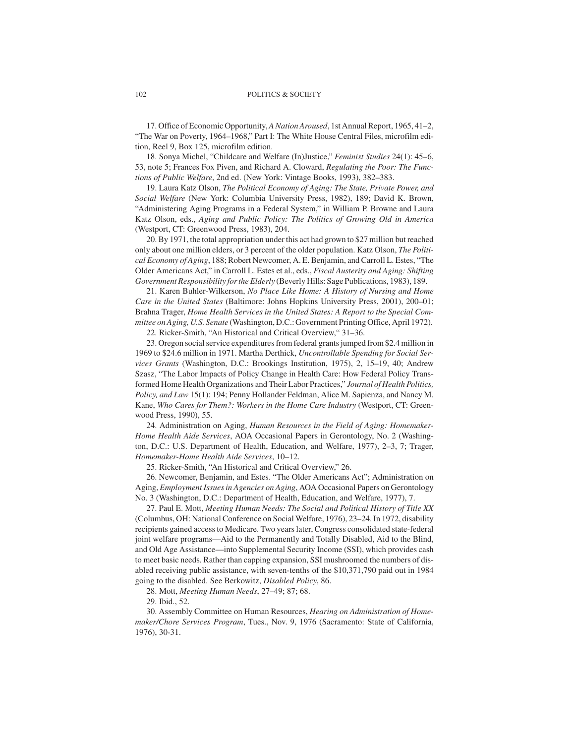17. Office of Economic Opportunity,*A Nation Aroused*, 1st Annual Report, 1965, 41–2, "The War on Poverty, 1964–1968," Part I: The White House Central Files, microfilm edition, Reel 9, Box 125, microfilm edition.

18. Sonya Michel, "Childcare and Welfare (In)Justice," *Feminist Studies* 24(1): 45–6, 53, note 5; Frances Fox Piven, and Richard A. Cloward, *Regulating the Poor: The Functions of Public Welfare*, 2nd ed. (New York: Vintage Books, 1993), 382–383.

19. Laura Katz Olson, *The Political Economy of Aging: The State, Private Power, and Social Welfare* (New York: Columbia University Press, 1982), 189; David K. Brown, "Administering Aging Programs in a Federal System," in William P. Browne and Laura Katz Olson, eds., *Aging and Public Policy: The Politics of Growing Old in America* (Westport, CT: Greenwood Press, 1983), 204.

20. By 1971, the total appropriation under this act had grown to \$27 million but reached only about one million elders, or 3 percent of the older population. Katz Olson, *The Political Economy of Aging*, 188; Robert Newcomer, A. E. Benjamin, and Carroll L. Estes, "The Older Americans Act," in Carroll L. Estes et al., eds., *Fiscal Austerity and Aging: Shifting Government Responsibility for the Elderly* (Beverly Hills: Sage Publications, 1983), 189.

21. Karen Buhler-Wilkerson, *No Place Like Home: A History of Nursing and Home Care in the United States* (Baltimore: Johns Hopkins University Press, 2001), 200–01; Brahna Trager, *Home Health Services in the United States: A Report to the Special Committee on Aging, U.S. Senate* (Washington, D.C.: Government Printing Office, April 1972).

22. Ricker-Smith, "An Historical and Critical Overview," 31–36.

23. Oregon social service expenditures from federal grants jumped from \$2.4 million in 1969 to \$24.6 million in 1971. Martha Derthick, *Uncontrollable Spending for Social Services Grants* (Washington, D.C.: Brookings Institution, 1975), 2, 15–19, 40; Andrew Szasz, "The Labor Impacts of Policy Change in Health Care: How Federal Policy Transformed Home Health Organizations and Their Labor Practices," *Journal of Health Politics, Policy, and Law* 15(1): 194; Penny Hollander Feldman, Alice M. Sapienza, and Nancy M. Kane, *Who Cares for Them?: Workers in the Home Care Industry* (Westport, CT: Greenwood Press, 1990), 55.

24. Administration on Aging, *Human Resources in the Field of Aging: Homemaker-Home Health Aide Services*, AOA Occasional Papers in Gerontology, No. 2 (Washington, D.C.: U.S. Department of Health, Education, and Welfare, 1977), 2–3, 7; Trager, *Homemaker-Home Health Aide Services*, 10–12.

25. Ricker-Smith, "An Historical and Critical Overview," 26.

26. Newcomer, Benjamin, and Estes. "The Older Americans Act"; Administration on Aging, *Employment Issues in Agencies on Aging*, AOA Occasional Papers on Gerontology No. 3 (Washington, D.C.: Department of Health, Education, and Welfare, 1977), 7.

27. Paul E. Mott, *Meeting Human Needs: The Social and Political History of Title XX* (Columbus, OH: National Conference on Social Welfare, 1976), 23–24. In 1972, disability recipients gained access to Medicare. Two years later, Congress consolidated state-federal joint welfare programs—Aid to the Permanently and Totally Disabled, Aid to the Blind, and Old Age Assistance—into Supplemental Security Income (SSI), which provides cash to meet basic needs. Rather than capping expansion, SSI mushroomed the numbers of disabled receiving public assistance, with seven-tenths of the \$10,371,790 paid out in 1984 going to the disabled. See Berkowitz, *Disabled Policy*, 86.

28. Mott, *Meeting Human Needs*, 27–49; 87; 68.

29. Ibid., 52.

30. Assembly Committee on Human Resources, *Hearing on Administration of Homemaker/Chore Services Program*, Tues., Nov. 9, 1976 (Sacramento: State of California, 1976), 30-31.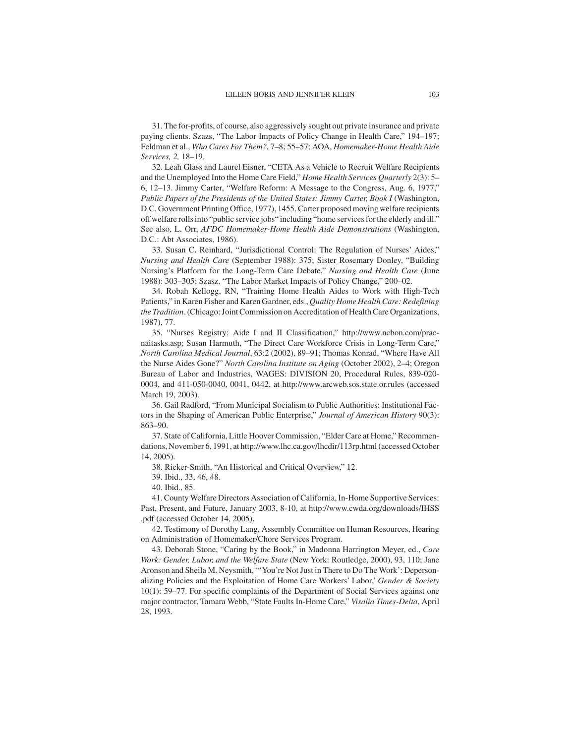31. The for-profits, of course, also aggressively sought out private insurance and private paying clients. Szazs, "The Labor Impacts of Policy Change in Health Care," 194–197; Feldman et al., *Who Cares For Them?*, 7–8; 55–57; AOA, *Homemaker-Home Health Aide Services, 2,* 18–19.

32. Leah Glass and Laurel Eisner, "CETA As a Vehicle to Recruit Welfare Recipients and the Unemployed Into the Home Care Field," *Home Health Services Quarterly* 2(3): 5– 6, 12–13. Jimmy Carter, "Welfare Reform: A Message to the Congress, Aug. 6, 1977," *Public Papers of the Presidents of the United States: Jimmy Carter, Book I* (Washington, D.C. Government Printing Office, 1977), 1455. Carter proposed moving welfare recipients off welfare rolls into "public service jobs" including "home services for the elderly and ill." See also, L. Orr, *AFDC Homemaker-Home Health Aide Demonstrations* (Washington, D.C.: Abt Associates, 1986).

33. Susan C. Reinhard, "Jurisdictional Control: The Regulation of Nurses' Aides," *Nursing and Health Care* (September 1988): 375; Sister Rosemary Donley, "Building Nursing's Platform for the Long-Term Care Debate," *Nursing and Health Care* (June 1988): 303–305; Szasz, "The Labor Market Impacts of Policy Change," 200–02.

34. Robah Kellogg, RN, "Training Home Health Aides to Work with High-Tech Patients," in Karen Fisher and Karen Gardner, eds., *Quality Home Health Care: Redefining the Tradition*. (Chicago: Joint Commission on Accreditation of Health Care Organizations, 1987), 77.

35. "Nurses Registry: Aide I and II Classification," http://www.ncbon.com/pracnaitasks.asp; Susan Harmuth, "The Direct Care Workforce Crisis in Long-Term Care," *North Carolina Medical Journal*, 63:2 (2002), 89–91; Thomas Konrad, "Where Have All the Nurse Aides Gone?" *North Carolina Institute on Aging* (October 2002), 2–4; Oregon Bureau of Labor and Industries, WAGES: DIVISION 20, Procedural Rules, 839-020- 0004, and 411-050-0040, 0041, 0442, at http://www.arcweb.sos.state.or.rules (accessed March 19, 2003).

36. Gail Radford, "From Municipal Socialism to Public Authorities: Institutional Factors in the Shaping of American Public Enterprise," *Journal of American History* 90(3): 863–90.

37. State of California, Little Hoover Commission, "Elder Care at Home," Recommendations, November 6, 1991, at http://www.lhc.ca.gov/lhcdir/113rp.html (accessed October 14, 2005).

38. Ricker-Smith, "An Historical and Critical Overview," 12.

39. Ibid., 33, 46, 48.

40. Ibid., 85.

41. County Welfare Directors Association of California, In-Home Supportive Services: Past, Present, and Future, January 2003, 8-10, at http://www.cwda.org/downloads/IHSS .pdf (accessed October 14, 2005).

42. Testimony of Dorothy Lang, Assembly Committee on Human Resources, Hearing on Administration of Homemaker/Chore Services Program.

43. Deborah Stone, "Caring by the Book," in Madonna Harrington Meyer, ed., *Care Work: Gender, Labor, and the Welfare State* (New York: Routledge, 2000), 93, 110; Jane Aronson and Sheila M. Neysmith, "'You're Not Just in There to Do The Work': Depersonalizing Policies and the Exploitation of Home Care Workers' Labor,' *Gender & Society* 10(1): 59–77. For specific complaints of the Department of Social Services against one major contractor, Tamara Webb, "State Faults In-Home Care," *Visalia Times-Delta*, April 28, 1993.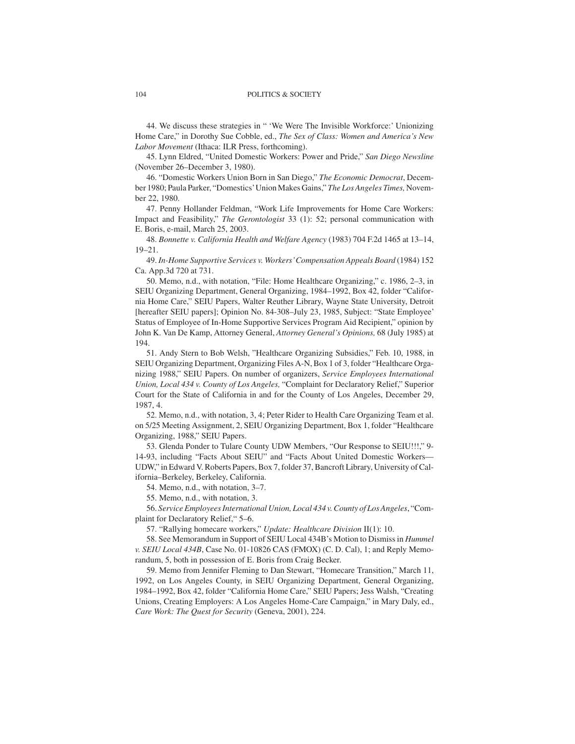44. We discuss these strategies in " 'We Were The Invisible Workforce:' Unionizing Home Care," in Dorothy Sue Cobble, ed., *The Sex of Class: Women and America's New Labor Movement* (Ithaca: ILR Press, forthcoming).

45. Lynn Eldred, "United Domestic Workers: Power and Pride," *San Diego Newsline* (November 26–December 3, 1980).

46. "Domestic Workers Union Born in San Diego," *The Economic Democrat*, December 1980; Paula Parker, "Domestics'Union Makes Gains," *The Los Angeles Times,* November 22, 1980.

47. Penny Hollander Feldman, "Work Life Improvements for Home Care Workers: Impact and Feasibility," *The Gerontologist* 33 (1): 52; personal communication with E. Boris, e-mail, March 25, 2003.

48. *Bonnette v. California Health and Welfare Agency* (1983) 704 F.2d 1465 at 13–14, 19–21.

49. *In-Home Supportive Services v. Workers'Compensation Appeals Board* (1984) 152 Ca. App.3d 720 at 731.

50. Memo, n.d., with notation, "File: Home Healthcare Organizing," c. 1986, 2–3, in SEIU Organizing Department, General Organizing, 1984–1992, Box 42, folder "California Home Care," SEIU Papers, Walter Reuther Library, Wayne State University, Detroit [hereafter SEIU papers]; Opinion No. 84-308–July 23, 1985, Subject: "State Employee' Status of Employee of In-Home Supportive Services Program Aid Recipient," opinion by John K. Van De Kamp, Attorney General, *Attorney General's Opinions,* 68 (July 1985) at 194.

51. Andy Stern to Bob Welsh, "Healthcare Organizing Subsidies," Feb. 10, 1988, in SEIU Organizing Department, Organizing Files A-N, Box 1 of 3, folder "Healthcare Organizing 1988," SEIU Papers. On number of organizers, *Service Employees International Union, Local 434 v. County of Los Angeles,* "Complaint for Declaratory Relief," Superior Court for the State of California in and for the County of Los Angeles, December 29, 1987, 4.

52. Memo, n.d., with notation, 3, 4; Peter Rider to Health Care Organizing Team et al. on 5/25 Meeting Assignment, 2, SEIU Organizing Department, Box 1, folder "Healthcare Organizing, 1988," SEIU Papers.

53. Glenda Ponder to Tulare County UDW Members, "Our Response to SEIU!!!," 9- 14-93, including "Facts About SEIU" and "Facts About United Domestic Workers— UDW," in Edward V. Roberts Papers, Box 7, folder 37, Bancroft Library, University of California–Berkeley, Berkeley, California.

54. Memo, n.d., with notation, 3–7.

55. Memo, n.d., with notation, 3.

56. *Service Employees International Union, Local 434 v. County of Los Angeles*, "Complaint for Declaratory Relief," 5–6.

57. "Rallying homecare workers," *Update: Healthcare Division* II(1): 10.

58. See Memorandum in Support of SEIU Local 434B's Motion to Dismiss in *Hummel v. SEIU Local 434B*, Case No. 01-10826 CAS (FMOX) (C. D. Cal), 1; and Reply Memorandum, 5, both in possession of E. Boris from Craig Becker.

59. Memo from Jennifer Fleming to Dan Stewart, "Homecare Transition," March 11, 1992, on Los Angeles County, in SEIU Organizing Department, General Organizing, 1984–1992, Box 42, folder "California Home Care," SEIU Papers; Jess Walsh, "Creating Unions, Creating Employers: A Los Angeles Home-Care Campaign," in Mary Daly, ed., *Care Work: The Quest for Security* (Geneva, 2001), 224.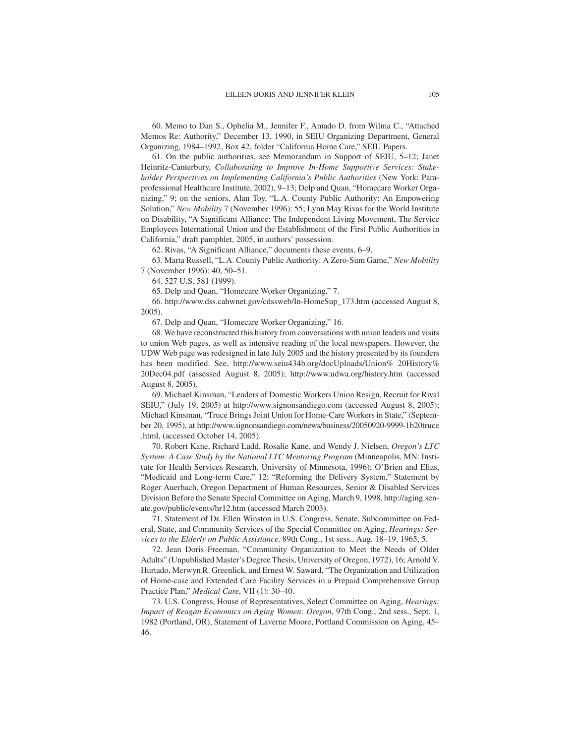60. Memo to Dan S., Ophelia M., Jennifer F., Amado D. from Wilma C., "Attached Memos Re: Authority," December 13, 1990, in SEIU Organizing Department, General Organizing, 1984–1992, Box 42, folder "California Home Care," SEIU Papers.

61. On the public authorities, see Memorandum in Support of SEIU, 5–12; Janet Heinritz-Canterbury, *Collaborating to Improve In-Home Supportive Services: Stakeholder Perspectives on Implementing California's Public Authorities* (New York: Paraprofessional Healthcare Institute, 2002), 9–13; Delp and Quan, "Homecare Worker Organizing," 9; on the seniors, Alan Toy, "L.A. County Public Authority: An Empowering Solution," *New Mobility* 7 (November 1996): 55; Lynn May Rivas for the World Institute on Disability, "A Significant Alliance: The Independent Living Movement, The Service Employees International Union and the Establishment of the First Public Authorities in California," draft pamphlet, 2005, in authors' possession.

62. Rivas, "A Significant Alliance," documents these events, 6–9.

63. Marta Russell, "L.A. County Public Authority: A Zero-Sum Game," *New Mobility* 7 (November 1996): 40, 50–51.

64. 527 U.S. 581 (1999).

65. Delp and Quan, "Homecare Worker Organizing," 7.

66. http://www.dss.cahwnet.gov/cdssweb/In-HomeSup\_173.htm (accessed August 8, 2005).

67. Delp and Quan, "Homecare Worker Organizing," 16.

68. We have reconstructed this history from conversations with union leaders and visits to union Web pages, as well as intensive reading of the local newspapers. However, the UDW Web page was redesigned in late July 2005 and the history presented by its founders has been modified. See, http://www.seiu434b.org/docUploads/Union% 20History% 20Dec04.pdf (assessed August 8, 2005); http://www.udwa.org/history.htm (accessed August 8, 2005).

69. Michael Kinsman, "Leaders of Domestic Workers Union Resign, Recruit for Rival SEIU," (July 19, 2005) at http://www.signonsandiego.com (accessed August 8, 2005); Michael Kinsman, "Truce Brings Joint Union for Home-Care Workers in State," (September 20, 1995), at http://www.signonsandiego.com/news/business/20050920-9999-1b20truce .html, (accessed October 14, 2005).

70. Robert Kane, Richard Ladd, Rosalie Kane, and Wendy J. Nielsen, *Oregon's LTC System: A Case Study by the National LTC Mentoring Program* (Minneapolis, MN: Institute for Health Services Research, University of Minnesota, 1996); O'Brien and Elias, "Medicaid and Long-term Care," 12; "Reforming the Delivery System," Statement by Roger Auerbach, Oregon Department of Human Resources, Senior & Disabled Services Division Before the Senate Special Committee on Aging, March 9, 1998, http://aging.senate.gov/public/events/hr12.htm (accessed March 2003).

71. Statement of Dr. Ellen Winston in U.S. Congress, Senate, Subcommittee on Federal, State, and Community Services of the Special Committee on Aging, *Hearings: Services to the Elderly on Public Assistance,* 89th Cong., 1st sess., Aug. 18–19, 1965, 5.

72. Jean Doris Freeman, "Community Organization to Meet the Needs of Older Adults" (Unpublished Master's Degree Thesis, University of Oregon, 1972), 16; Arnold V. Hurtado, Merwyn R. Greenlick, and Ernest W. Saward, "The Organization and Utilization of Home-case and Extended Care Facility Services in a Prepaid Comprehensive Group Practice Plan," *Medical Care*, VII (1): 30–40.

73. U.S. Congress, House of Representatives, Select Committee on Aging, *Hearings: Impact of Reagan Economics on Aging Women: Oregon*, 97th Cong., 2nd sess., Sept. 1, 1982 (Portland, OR), Statement of Laverne Moore, Portland Commission on Aging, 45– 46.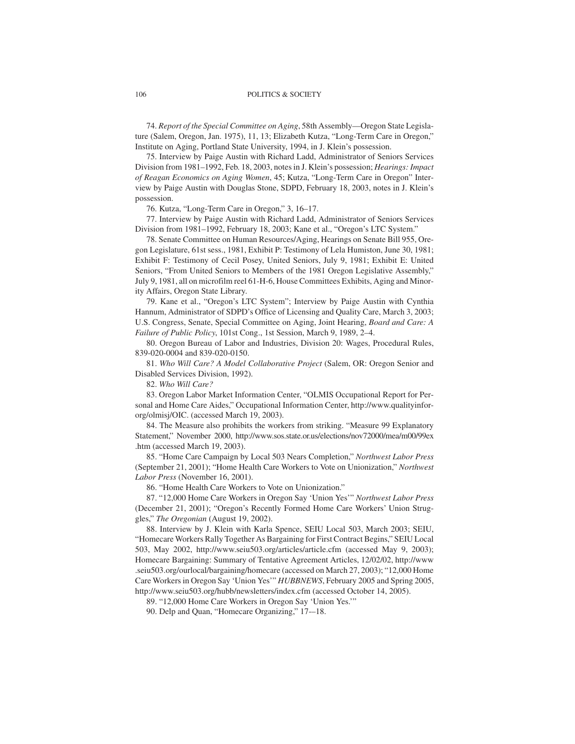74. *Report of the Special Committee on Aging*, 58th Assembly—Oregon State Legislature (Salem, Oregon, Jan. 1975), 11, 13; Elizabeth Kutza, "Long-Term Care in Oregon," Institute on Aging, Portland State University, 1994, in J. Klein's possession.

75. Interview by Paige Austin with Richard Ladd, Administrator of Seniors Services Division from 1981–1992, Feb. 18, 2003, notes in J. Klein's possession; *Hearings: Impact of Reagan Economics on Aging Women*, 45; Kutza, "Long-Term Care in Oregon" Interview by Paige Austin with Douglas Stone, SDPD, February 18, 2003, notes in J. Klein's possession.

76. Kutza, "Long-Term Care in Oregon," 3, 16–17.

77. Interview by Paige Austin with Richard Ladd, Administrator of Seniors Services Division from 1981–1992, February 18, 2003; Kane et al., "Oregon's LTC System."

78. Senate Committee on Human Resources/Aging, Hearings on Senate Bill 955, Oregon Legislature, 61st sess., 1981, Exhibit P: Testimony of Lela Humiston, June 30, 1981; Exhibit F: Testimony of Cecil Posey, United Seniors, July 9, 1981; Exhibit E: United Seniors, "From United Seniors to Members of the 1981 Oregon Legislative Assembly," July 9, 1981, all on microfilm reel 61-H-6, House Committees Exhibits, Aging and Minority Affairs, Oregon State Library.

79. Kane et al., "Oregon's LTC System"; Interview by Paige Austin with Cynthia Hannum, Administrator of SDPD's Office of Licensing and Quality Care, March 3, 2003; U.S. Congress, Senate, Special Committee on Aging, Joint Hearing, *Board and Care: A Failure of Public Policy*, 101st Cong., 1st Session, March 9, 1989, 2–4.

80. Oregon Bureau of Labor and Industries, Division 20: Wages, Procedural Rules, 839-020-0004 and 839-020-0150.

81. *Who Will Care? A Model Collaborative Project* (Salem, OR: Oregon Senior and Disabled Services Division, 1992).

82. *Who Will Care?*

83. Oregon Labor Market Information Center, "OLMIS Occupational Report for Personal and Home Care Aides," Occupational Information Center, http://www.qualityinfororg/olmisj/OIC. (accessed March 19, 2003).

84. The Measure also prohibits the workers from striking. "Measure 99 Explanatory Statement," November 2000, http://www.sos.state.or.us/elections/nov72000/mea/m00/99ex .htm (accessed March 19, 2003).

85. "Home Care Campaign by Local 503 Nears Completion," *Northwest Labor Press* (September 21, 2001); "Home Health Care Workers to Vote on Unionization," *Northwest Labor Press* (November 16, 2001).

86. "Home Health Care Workers to Vote on Unionization."

87. "12,000 Home Care Workers in Oregon Say 'Union Yes'" *Northwest Labor Press* (December 21, 2001); "Oregon's Recently Formed Home Care Workers' Union Struggles," *The Oregonian* (August 19, 2002).

88. Interview by J. Klein with Karla Spence, SEIU Local 503, March 2003; SEIU, "Homecare Workers Rally Together As Bargaining for First Contract Begins," SEIU Local 503, May 2002, http://www.seiu503.org/articles/article.cfm (accessed May 9, 2003); Homecare Bargaining: Summary of Tentative Agreement Articles, 12/02/02, http://www .seiu503.org/ourlocal/bargaining/homecare (accessed on March 27, 2003); "12,000 Home Care Workers in Oregon Say 'Union Yes'" *HUBBNEWS*, February 2005 and Spring 2005, http://www.seiu503.org/hubb/newsletters/index.cfm (accessed October 14, 2005).

89. "12,000 Home Care Workers in Oregon Say 'Union Yes.'"

90. Delp and Quan, "Homecare Organizing," 17-–18.